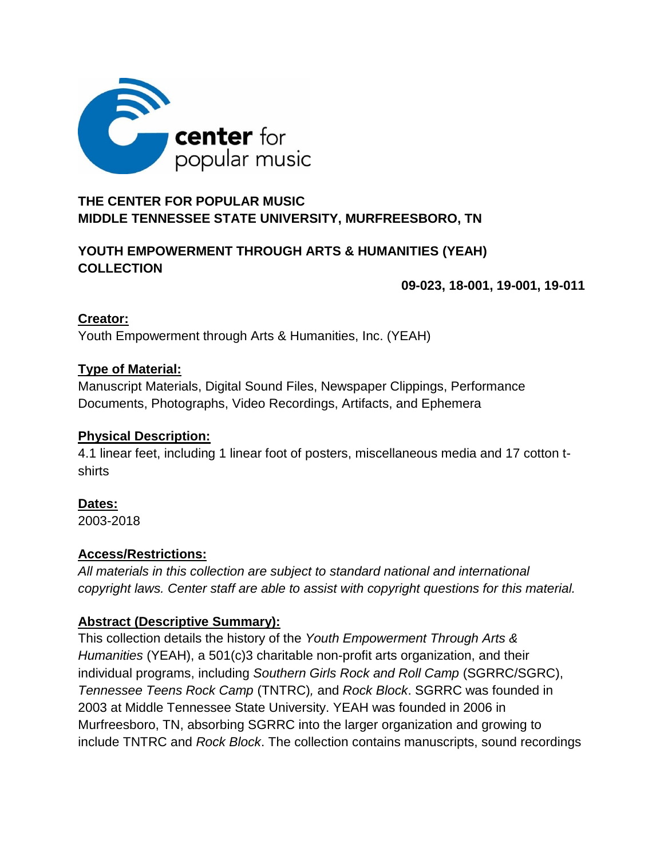

# **THE CENTER FOR POPULAR MUSIC MIDDLE TENNESSEE STATE UNIVERSITY, MURFREESBORO, TN**

### **YOUTH EMPOWERMENT THROUGH ARTS & HUMANITIES (YEAH) COLLECTION**

 **09-023, 18-001, 19-001, 19-011**

### **Creator:**

Youth Empowerment through Arts & Humanities, Inc. (YEAH)

### **Type of Material:**

Manuscript Materials, Digital Sound Files, Newspaper Clippings, Performance Documents, Photographs, Video Recordings, Artifacts, and Ephemera

#### **Physical Description:**

4.1 linear feet, including 1 linear foot of posters, miscellaneous media and 17 cotton tshirts

### **Dates:**

2003-2018

### **Access/Restrictions:**

*All materials in this collection are subject to standard national and international copyright laws. Center staff are able to assist with copyright questions for this material.*

### **Abstract (Descriptive Summary):**

This collection details the history of the *Youth Empowerment Through Arts & Humanities* (YEAH), a 501(c)3 charitable non-profit arts organization, and their individual programs, including *Southern Girls Rock and Roll Camp* (SGRRC/SGRC), *Tennessee Teens Rock Camp* (TNTRC)*,* and *Rock Block*. SGRRC was founded in 2003 at Middle Tennessee State University. YEAH was founded in 2006 in Murfreesboro, TN, absorbing SGRRC into the larger organization and growing to include TNTRC and *Rock Block*. The collection contains manuscripts, sound recordings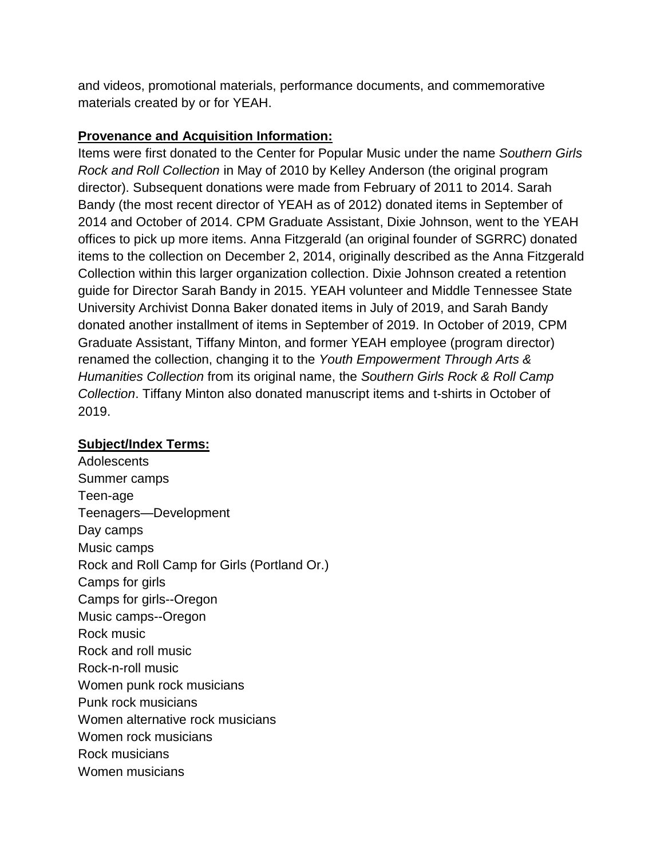and videos, promotional materials, performance documents, and commemorative materials created by or for YEAH.

#### **Provenance and Acquisition Information:**

Items were first donated to the Center for Popular Music under the name *Southern Girls Rock and Roll Collection* in May of 2010 by Kelley Anderson (the original program director). Subsequent donations were made from February of 2011 to 2014. Sarah Bandy (the most recent director of YEAH as of 2012) donated items in September of 2014 and October of 2014. CPM Graduate Assistant, Dixie Johnson, went to the YEAH offices to pick up more items. Anna Fitzgerald (an original founder of SGRRC) donated items to the collection on December 2, 2014, originally described as the Anna Fitzgerald Collection within this larger organization collection. Dixie Johnson created a retention guide for Director Sarah Bandy in 2015. YEAH volunteer and Middle Tennessee State University Archivist Donna Baker donated items in July of 2019, and Sarah Bandy donated another installment of items in September of 2019. In October of 2019, CPM Graduate Assistant, Tiffany Minton, and former YEAH employee (program director) renamed the collection, changing it to the *Youth Empowerment Through Arts & Humanities Collection* from its original name, the *Southern Girls Rock & Roll Camp Collection*. Tiffany Minton also donated manuscript items and t-shirts in October of 2019.

#### **Subject/Index Terms:**

Adolescents Summer camps Teen-age Teenagers—Development Day camps Music camps Rock and Roll Camp for Girls (Portland Or.) Camps for girls Camps for girls--Oregon Music camps--Oregon Rock music Rock and roll music Rock-n-roll music Women punk rock musicians Punk rock musicians Women alternative rock musicians Women rock musicians Rock musicians Women musicians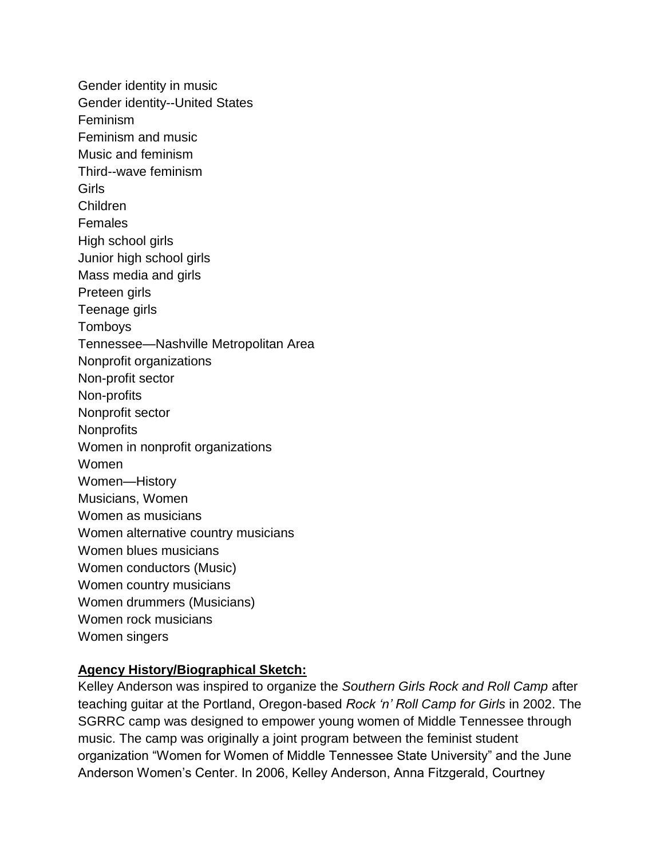Gender identity in music Gender identity--United States Feminism Feminism and music Music and feminism Third--wave feminism Girls [Children](http://id.loc.gov/authorities/subjects/sh85023418) [Females](http://id.loc.gov/authorities/subjects/sh85047734) High [school](http://id.loc.gov/authorities/subjects/sh2009006795) girls Junior high [school](http://id.loc.gov/authorities/subjects/sh2009008867) girls Mass [media](http://id.loc.gov/authorities/subjects/sh2005006809) and girls [Preteen](http://id.loc.gov/authorities/subjects/sh2015000665) girls [Teenage](http://id.loc.gov/authorities/subjects/sh85000957) girls [Tomboys](http://id.loc.gov/authorities/subjects/sh2011002322) Tennessee—Nashville Metropolitan Area Nonprofit organizations Non-profit sector Non-profits Nonprofit sector **Nonprofits** Women in nonprofit organizations Women Women—History Musicians, Women Women as musicians Women [alternative](http://id.loc.gov/authorities/subjects/sh2010014082) country musicians Women blues [musicians](http://id.loc.gov/authorities/subjects/sh96006944) Women [conductors](http://id.loc.gov/authorities/subjects/sh2001002365) (Music) Women country [musicians](http://id.loc.gov/authorities/subjects/sh93007388) Women drummers [\(Musicians\)](http://id.loc.gov/authorities/subjects/sh98000833) Women rock [musicians](http://id.loc.gov/authorities/subjects/sh92002582) [Women](http://id.loc.gov/authorities/subjects/sh85147708) singers

#### **Agency History/Biographical Sketch:**

Kelley Anderson was inspired to organize the *Southern Girls Rock and Roll Camp* after teaching guitar at the Portland, Oregon-based *Rock 'n' Roll Camp for Girls* in 2002. The SGRRC camp was designed to empower young women of Middle Tennessee through music. The camp was originally a joint program between the feminist student organization "Women for Women of Middle Tennessee State University" and the June Anderson Women's Center. In 2006, Kelley Anderson, Anna Fitzgerald, Courtney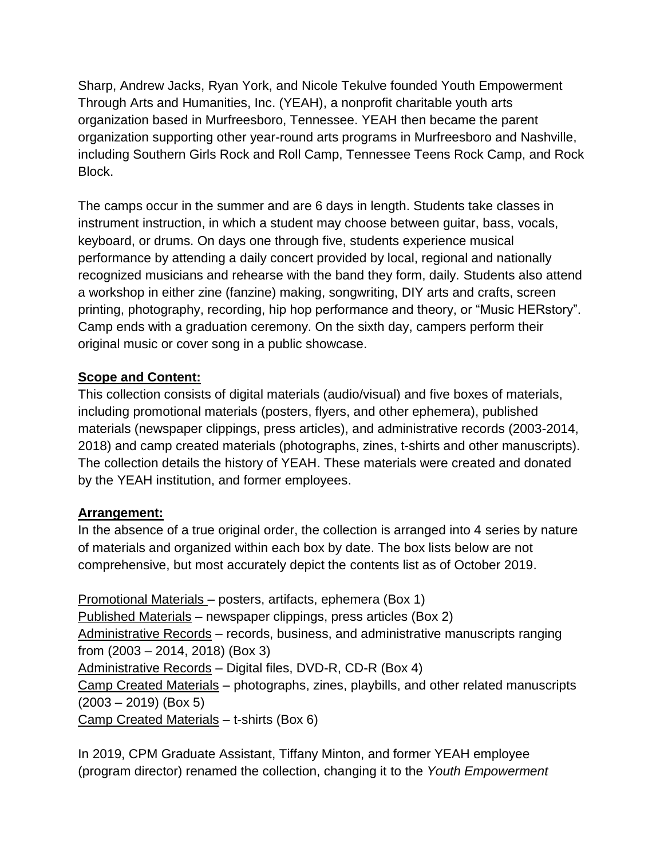Sharp, Andrew Jacks, Ryan York, and Nicole Tekulve founded Youth Empowerment Through Arts and Humanities, Inc. (YEAH), a nonprofit charitable youth arts organization based in Murfreesboro, Tennessee. YEAH then became the parent organization supporting other year-round arts programs in Murfreesboro and Nashville, including Southern Girls Rock and Roll Camp, Tennessee Teens Rock Camp, and Rock Block.

The camps occur in the summer and are 6 days in length. Students take classes in instrument instruction, in which a student may choose between guitar, bass, vocals, keyboard, or drums. On days one through five, students experience musical performance by attending a daily concert provided by local, regional and nationally recognized musicians and rehearse with the band they form, daily. Students also attend a workshop in either zine (fanzine) making, songwriting, DIY arts and crafts, screen printing, photography, recording, hip hop performance and theory, or "Music HERstory". Camp ends with a graduation ceremony. On the sixth day, campers perform their original music or cover song in a public showcase.

### **Scope and Content:**

This collection consists of digital materials (audio/visual) and five boxes of materials, including promotional materials (posters, flyers, and other ephemera), published materials (newspaper clippings, press articles), and administrative records (2003-2014, 2018) and camp created materials (photographs, zines, t-shirts and other manuscripts). The collection details the history of YEAH. These materials were created and donated by the YEAH institution, and former employees.

### **Arrangement:**

In the absence of a true original order, the collection is arranged into 4 series by nature of materials and organized within each box by date. The box lists below are not comprehensive, but most accurately depict the contents list as of October 2019.

Promotional Materials – posters, artifacts, ephemera (Box 1) Published Materials – newspaper clippings, press articles (Box 2) Administrative Records – records, business, and administrative manuscripts ranging from (2003 – 2014, 2018) (Box 3) Administrative Records – Digital files, DVD-R, CD-R (Box 4) Camp Created Materials – photographs, zines, playbills, and other related manuscripts  $(2003 - 2019)$  (Box 5) Camp Created Materials – t-shirts (Box 6)

In 2019, CPM Graduate Assistant, Tiffany Minton, and former YEAH employee (program director) renamed the collection, changing it to the *Youth Empowerment*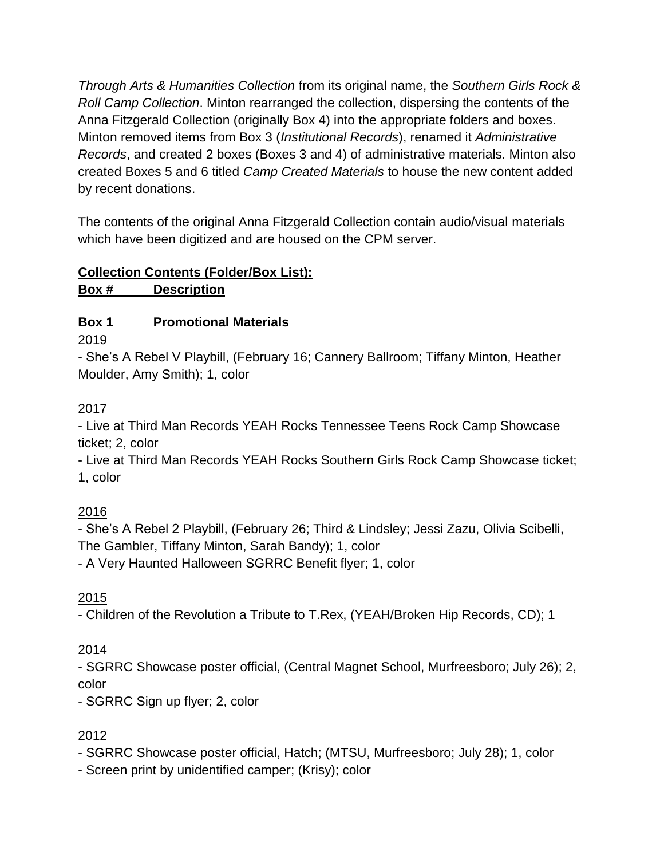*Through Arts & Humanities Collection* from its original name, the *Southern Girls Rock & Roll Camp Collection*. Minton rearranged the collection, dispersing the contents of the Anna Fitzgerald Collection (originally Box 4) into the appropriate folders and boxes. Minton removed items from Box 3 (*Institutional Records*), renamed it *Administrative Records*, and created 2 boxes (Boxes 3 and 4) of administrative materials. Minton also created Boxes 5 and 6 titled *Camp Created Materials* to house the new content added by recent donations.

The contents of the original Anna Fitzgerald Collection contain audio/visual materials which have been digitized and are housed on the CPM server.

# **Collection Contents (Folder/Box List):**

**Box # Description**

### **Box 1 Promotional Materials**

2019

- She's A Rebel V Playbill, (February 16; Cannery Ballroom; Tiffany Minton, Heather Moulder, Amy Smith); 1, color

### 2017

- Live at Third Man Records YEAH Rocks Tennessee Teens Rock Camp Showcase ticket; 2, color

- Live at Third Man Records YEAH Rocks Southern Girls Rock Camp Showcase ticket; 1, color

# 2016

- She's A Rebel 2 Playbill, (February 26; Third & Lindsley; Jessi Zazu, Olivia Scibelli, The Gambler, Tiffany Minton, Sarah Bandy); 1, color

- A Very Haunted Halloween SGRRC Benefit flyer; 1, color

2015

- Children of the Revolution a Tribute to T.Rex, (YEAH/Broken Hip Records, CD); 1

# 2014

- SGRRC Showcase poster official, (Central Magnet School, Murfreesboro; July 26); 2, color

- SGRRC Sign up flyer; 2, color

# 2012

- SGRRC Showcase poster official, Hatch; (MTSU, Murfreesboro; July 28); 1, color

- Screen print by unidentified camper; (Krisy); color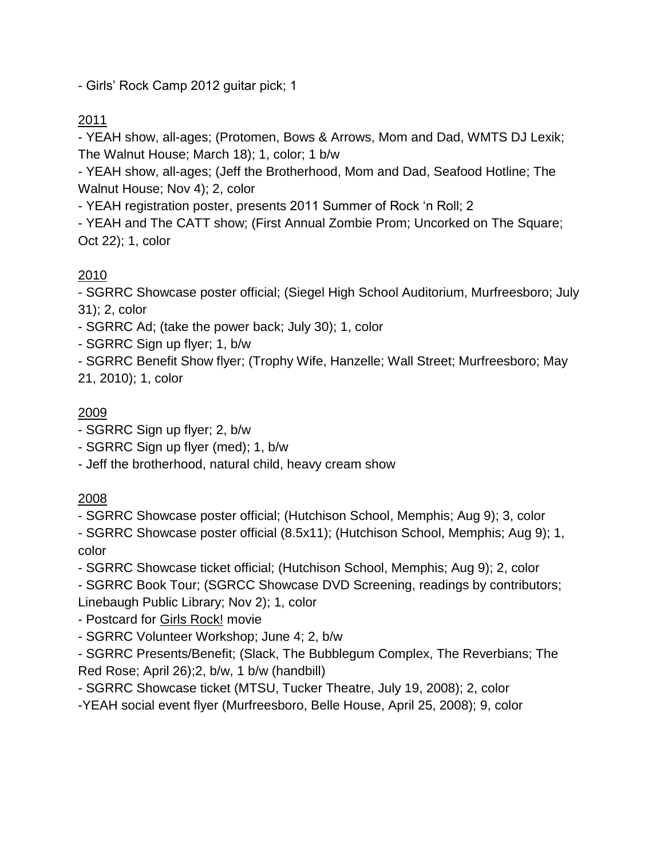- Girls' Rock Camp 2012 guitar pick; 1

# 2011

- YEAH show, all-ages; (Protomen, Bows & Arrows, Mom and Dad, WMTS DJ Lexik; The Walnut House; March 18); 1, color; 1 b/w

- YEAH show, all-ages; (Jeff the Brotherhood, Mom and Dad, Seafood Hotline; The Walnut House; Nov 4); 2, color

- YEAH registration poster, presents 2011 Summer of Rock 'n Roll; 2

- YEAH and The CATT show; (First Annual Zombie Prom; Uncorked on The Square; Oct 22); 1, color

### 2010

- SGRRC Showcase poster official; (Siegel High School Auditorium, Murfreesboro; July 31); 2, color

- SGRRC Ad; (take the power back; July 30); 1, color

- SGRRC Sign up flyer; 1, b/w

- SGRRC Benefit Show flyer; (Trophy Wife, Hanzelle; Wall Street; Murfreesboro; May 21, 2010); 1, color

### 2009

- SGRRC Sign up flyer; 2, b/w

- SGRRC Sign up flyer (med); 1, b/w

- Jeff the brotherhood, natural child, heavy cream show

### 2008

- SGRRC Showcase poster official; (Hutchison School, Memphis; Aug 9); 3, color

- SGRRC Showcase poster official (8.5x11); (Hutchison School, Memphis; Aug 9); 1, color

- SGRRC Showcase ticket official; (Hutchison School, Memphis; Aug 9); 2, color

- SGRRC Book Tour; (SGRCC Showcase DVD Screening, readings by contributors; Linebaugh Public Library; Nov 2); 1, color

- Postcard for Girls Rock! movie

- SGRRC Volunteer Workshop; June 4; 2, b/w

- SGRRC Presents/Benefit; (Slack, The Bubblegum Complex, The Reverbians; The Red Rose; April 26);2, b/w, 1 b/w (handbill)

- SGRRC Showcase ticket (MTSU, Tucker Theatre, July 19, 2008); 2, color

-YEAH social event flyer (Murfreesboro, Belle House, April 25, 2008); 9, color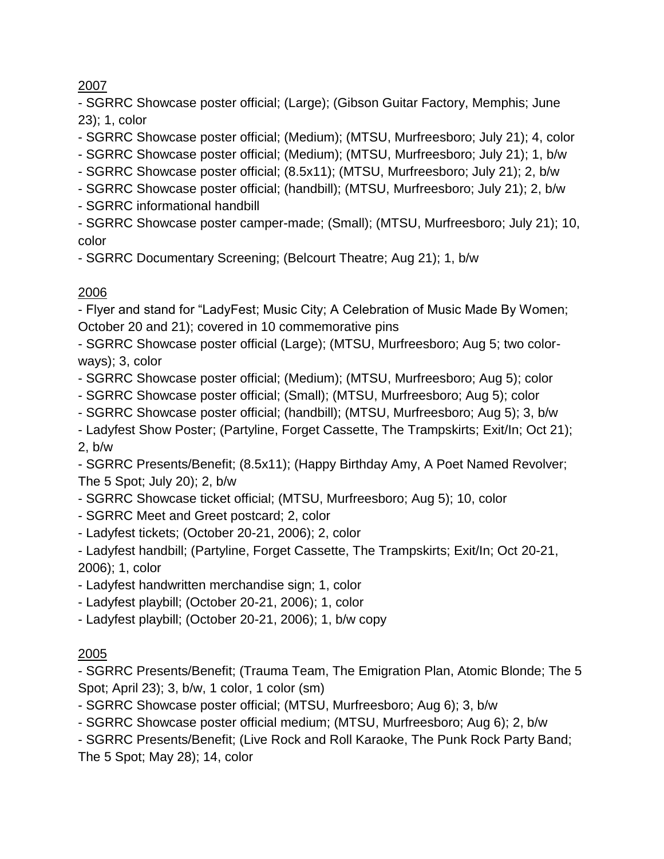- SGRRC Showcase poster official; (Large); (Gibson Guitar Factory, Memphis; June 23); 1, color

- SGRRC Showcase poster official; (Medium); (MTSU, Murfreesboro; July 21); 4, color

- SGRRC Showcase poster official; (Medium); (MTSU, Murfreesboro; July 21); 1, b/w

- SGRRC Showcase poster official; (8.5x11); (MTSU, Murfreesboro; July 21); 2, b/w

- SGRRC Showcase poster official; (handbill); (MTSU, Murfreesboro; July 21); 2, b/w

- SGRRC informational handbill

- SGRRC Showcase poster camper-made; (Small); (MTSU, Murfreesboro; July 21); 10, color

- SGRRC Documentary Screening; (Belcourt Theatre; Aug 21); 1, b/w

# 2006

- Flyer and stand for "LadyFest; Music City; A Celebration of Music Made By Women; October 20 and 21); covered in 10 commemorative pins

- SGRRC Showcase poster official (Large); (MTSU, Murfreesboro; Aug 5; two colorways); 3, color

- SGRRC Showcase poster official; (Medium); (MTSU, Murfreesboro; Aug 5); color

- SGRRC Showcase poster official; (Small); (MTSU, Murfreesboro; Aug 5); color

- SGRRC Showcase poster official; (handbill); (MTSU, Murfreesboro; Aug 5); 3, b/w

- Ladyfest Show Poster; (Partyline, Forget Cassette, The Trampskirts; Exit/In; Oct 21); 2, b/w

- SGRRC Presents/Benefit; (8.5x11); (Happy Birthday Amy, A Poet Named Revolver; The 5 Spot; July 20); 2, b/w

- SGRRC Showcase ticket official; (MTSU, Murfreesboro; Aug 5); 10, color

- SGRRC Meet and Greet postcard; 2, color

- Ladyfest tickets; (October 20-21, 2006); 2, color

- Ladyfest handbill; (Partyline, Forget Cassette, The Trampskirts; Exit/In; Oct 20-21, 2006); 1, color

- Ladyfest handwritten merchandise sign; 1, color

- Ladyfest playbill; (October 20-21, 2006); 1, color

- Ladyfest playbill; (October 20-21, 2006); 1, b/w copy

# 2005

- SGRRC Presents/Benefit; (Trauma Team, The Emigration Plan, Atomic Blonde; The 5 Spot; April 23); 3, b/w, 1 color, 1 color (sm)

- SGRRC Showcase poster official; (MTSU, Murfreesboro; Aug 6); 3, b/w

- SGRRC Showcase poster official medium; (MTSU, Murfreesboro; Aug 6); 2, b/w

- SGRRC Presents/Benefit; (Live Rock and Roll Karaoke, The Punk Rock Party Band;

The 5 Spot; May 28); 14, color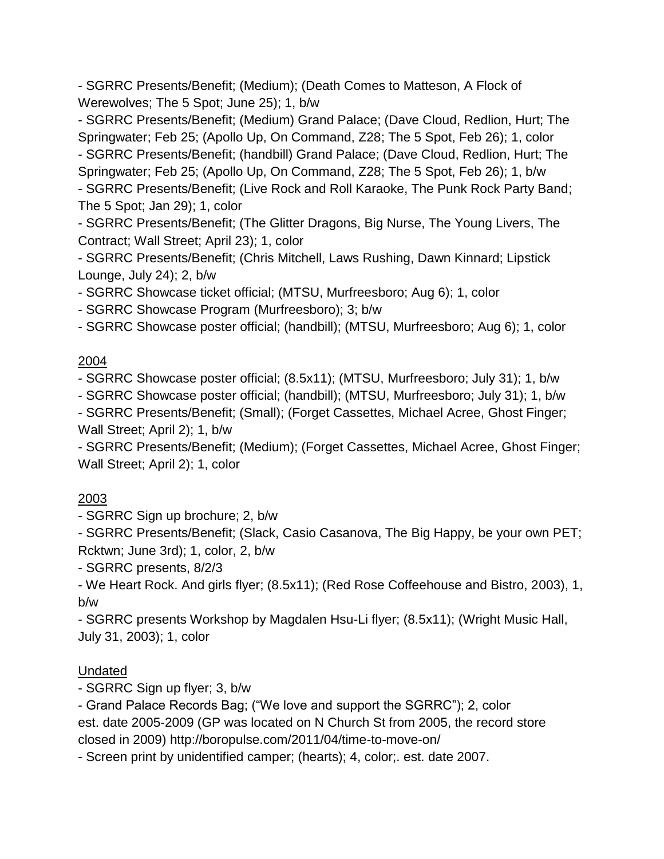- SGRRC Presents/Benefit; (Medium); (Death Comes to Matteson, A Flock of Werewolves; The 5 Spot; June 25); 1, b/w

- SGRRC Presents/Benefit; (Medium) Grand Palace; (Dave Cloud, Redlion, Hurt; The Springwater; Feb 25; (Apollo Up, On Command, Z28; The 5 Spot, Feb 26); 1, color - SGRRC Presents/Benefit; (handbill) Grand Palace; (Dave Cloud, Redlion, Hurt; The Springwater; Feb 25; (Apollo Up, On Command, Z28; The 5 Spot, Feb 26); 1, b/w - SGRRC Presents/Benefit; (Live Rock and Roll Karaoke, The Punk Rock Party Band;

The 5 Spot; Jan 29); 1, color

- SGRRC Presents/Benefit; (The Glitter Dragons, Big Nurse, The Young Livers, The Contract; Wall Street; April 23); 1, color

- SGRRC Presents/Benefit; (Chris Mitchell, Laws Rushing, Dawn Kinnard; Lipstick Lounge, July 24); 2, b/w

- SGRRC Showcase ticket official; (MTSU, Murfreesboro; Aug 6); 1, color

- SGRRC Showcase Program (Murfreesboro); 3; b/w

- SGRRC Showcase poster official; (handbill); (MTSU, Murfreesboro; Aug 6); 1, color

### 2004

- SGRRC Showcase poster official; (8.5x11); (MTSU, Murfreesboro; July 31); 1, b/w

- SGRRC Showcase poster official; (handbill); (MTSU, Murfreesboro; July 31); 1, b/w

- SGRRC Presents/Benefit; (Small); (Forget Cassettes, Michael Acree, Ghost Finger; Wall Street; April 2); 1, b/w

- SGRRC Presents/Benefit; (Medium); (Forget Cassettes, Michael Acree, Ghost Finger; Wall Street; April 2); 1, color

# 2003

- SGRRC Sign up brochure; 2, b/w

- SGRRC Presents/Benefit; (Slack, Casio Casanova, The Big Happy, be your own PET; Rcktwn; June 3rd); 1, color, 2, b/w

- SGRRC presents, 8/2/3

- We Heart Rock. And girls flyer; (8.5x11); (Red Rose Coffeehouse and Bistro, 2003), 1, b/w

- SGRRC presents Workshop by Magdalen Hsu-Li flyer; (8.5x11); (Wright Music Hall, July 31, 2003); 1, color

### Undated

- SGRRC Sign up flyer; 3, b/w

- Grand Palace Records Bag; ("We love and support the SGRRC"); 2, color est. date 2005-2009 (GP was located on N Church St from 2005, the record store closed in 2009) http://boropulse.com/2011/04/time-to-move-on/

- Screen print by unidentified camper; (hearts); 4, color;. est. date 2007.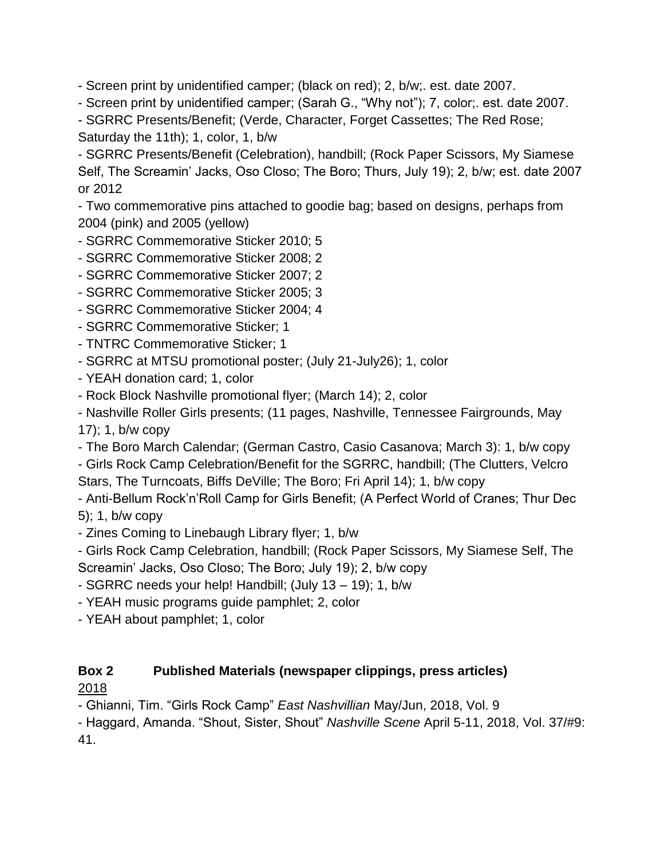- Screen print by unidentified camper; (black on red); 2, b/w;. est. date 2007.

- Screen print by unidentified camper; (Sarah G., "Why not"); 7, color;. est. date 2007.

- SGRRC Presents/Benefit; (Verde, Character, Forget Cassettes; The Red Rose; Saturday the 11th); 1, color, 1, b/w

- SGRRC Presents/Benefit (Celebration), handbill; (Rock Paper Scissors, My Siamese Self, The Screamin' Jacks, Oso Closo; The Boro; Thurs, July 19); 2, b/w; est. date 2007 or 2012

- Two commemorative pins attached to goodie bag; based on designs, perhaps from 2004 (pink) and 2005 (yellow)

- SGRRC Commemorative Sticker 2010; 5

- SGRRC Commemorative Sticker 2008; 2

- SGRRC Commemorative Sticker 2007; 2

- SGRRC Commemorative Sticker 2005; 3

- SGRRC Commemorative Sticker 2004; 4

- SGRRC Commemorative Sticker; 1

- TNTRC Commemorative Sticker; 1

- SGRRC at MTSU promotional poster; (July 21-July26); 1, color

- YEAH donation card; 1, color

- Rock Block Nashville promotional flyer; (March 14); 2, color

- Nashville Roller Girls presents; (11 pages, Nashville, Tennessee Fairgrounds, May

17); 1, b/w copy

- The Boro March Calendar; (German Castro, Casio Casanova; March 3): 1, b/w copy

- Girls Rock Camp Celebration/Benefit for the SGRRC, handbill; (The Clutters, Velcro Stars, The Turncoats, Biffs DeVille; The Boro; Fri April 14); 1, b/w copy

- Anti-Bellum Rock'n'Roll Camp for Girls Benefit; (A Perfect World of Cranes; Thur Dec 5); 1, b/w copy

- Zines Coming to Linebaugh Library flyer; 1, b/w

- Girls Rock Camp Celebration, handbill; (Rock Paper Scissors, My Siamese Self, The Screamin' Jacks, Oso Closo; The Boro; July 19); 2, b/w copy

- SGRRC needs your help! Handbill; (July 13 – 19); 1, b/w

- YEAH music programs guide pamphlet; 2, color

- YEAH about pamphlet; 1, color

#### **Box 2 Published Materials (newspaper clippings, press articles)** 2018

- Ghianni, Tim. "Girls Rock Camp" *East Nashvillian* May/Jun, 2018, Vol. 9

- Haggard, Amanda. "Shout, Sister, Shout" *Nashville Scene* April 5-11, 2018, Vol. 37/#9: 41.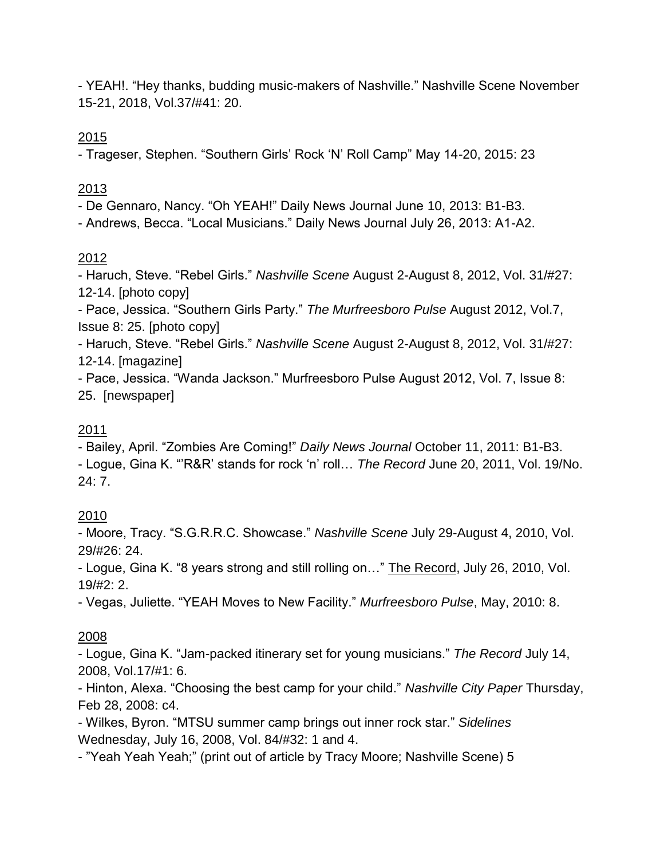- YEAH!. "Hey thanks, budding music-makers of Nashville." Nashville Scene November 15-21, 2018, Vol.37/#41: 20.

2015

- Trageser, Stephen. "Southern Girls' Rock 'N' Roll Camp" May 14-20, 2015: 23

# 2013

- De Gennaro, Nancy. "Oh YEAH!" Daily News Journal June 10, 2013: B1-B3.

- Andrews, Becca. "Local Musicians." Daily News Journal July 26, 2013: A1-A2.

# 2012

- Haruch, Steve. "Rebel Girls." *Nashville Scene* August 2-August 8, 2012, Vol. 31/#27: 12-14. [photo copy]

- Pace, Jessica. "Southern Girls Party." *The Murfreesboro Pulse* August 2012, Vol.7, Issue 8: 25. [photo copy]

- Haruch, Steve. "Rebel Girls." *Nashville Scene* August 2-August 8, 2012, Vol. 31/#27: 12-14. [magazine]

- Pace, Jessica. "Wanda Jackson." Murfreesboro Pulse August 2012, Vol. 7, Issue 8: 25. [newspaper]

### 2011

- Bailey, April. "Zombies Are Coming!" *Daily News Journal* October 11, 2011: B1-B3. - Logue, Gina K. "'R&R' stands for rock 'n' roll… *The Record* June 20, 2011, Vol. 19/No. 24: 7.

### 2010

- Moore, Tracy. "S.G.R.R.C. Showcase." *Nashville Scene* July 29-August 4, 2010, Vol. 29/#26: 24.

- Logue, Gina K. "8 years strong and still rolling on…" The Record, July 26, 2010, Vol. 19/#2: 2.

- Vegas, Juliette. "YEAH Moves to New Facility." *Murfreesboro Pulse*, May, 2010: 8.

### 2008

- Logue, Gina K. "Jam-packed itinerary set for young musicians." *The Record* July 14, 2008, Vol.17/#1: 6.

- Hinton, Alexa. "Choosing the best camp for your child." *Nashville City Paper* Thursday, Feb 28, 2008: c4.

- Wilkes, Byron. "MTSU summer camp brings out inner rock star." *Sidelines* Wednesday, July 16, 2008, Vol. 84/#32: 1 and 4.

- "Yeah Yeah Yeah;" (print out of article by Tracy Moore; Nashville Scene) 5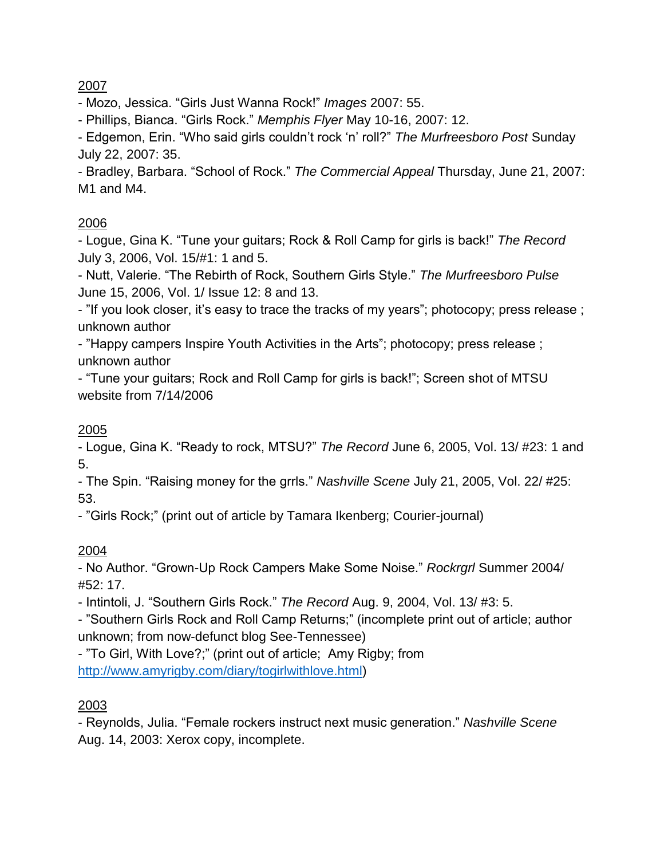- Mozo, Jessica. "Girls Just Wanna Rock!" *Images* 2007: 55.

- Phillips, Bianca. "Girls Rock." *Memphis Flyer* May 10-16, 2007: 12.

- Edgemon, Erin. "Who said girls couldn't rock 'n' roll?" *The Murfreesboro Post* Sunday July 22, 2007: 35.

- Bradley, Barbara. "School of Rock." *The Commercial Appeal* Thursday, June 21, 2007: M1 and M4.

### 2006

- Logue, Gina K. "Tune your guitars; Rock & Roll Camp for girls is back!" *The Record* July 3, 2006, Vol. 15/#1: 1 and 5.

- Nutt, Valerie. "The Rebirth of Rock, Southern Girls Style." *The Murfreesboro Pulse* June 15, 2006, Vol. 1/ Issue 12: 8 and 13.

- "If you look closer, it's easy to trace the tracks of my years"; photocopy; press release ; unknown author

- "Happy campers Inspire Youth Activities in the Arts"; photocopy; press release ; unknown author

- "Tune your guitars; Rock and Roll Camp for girls is back!"; Screen shot of MTSU website from 7/14/2006

### 2005

- Logue, Gina K. "Ready to rock, MTSU?" *The Record* June 6, 2005, Vol. 13/ #23: 1 and 5.

- The Spin. "Raising money for the grrls." *Nashville Scene* July 21, 2005, Vol. 22/ #25: 53.

- "Girls Rock;" (print out of article by Tamara Ikenberg; Courier-journal)

### 2004

- No Author. "Grown-Up Rock Campers Make Some Noise." *Rockrgrl* Summer 2004/ #52: 17.

- Intintoli, J. "Southern Girls Rock." *The Record* Aug. 9, 2004, Vol. 13/ #3: 5.

- "Southern Girls Rock and Roll Camp Returns;" (incomplete print out of article; author unknown; from now-defunct blog See-Tennessee)

- "To Girl, With Love?;" (print out of article; Amy Rigby; from [http://www.amyrigby.com/diary/togirlwithlove.html\)](http://www.amyrigby.com/diary/togirlwithlove.html)

### 2003

- Reynolds, Julia. "Female rockers instruct next music generation." *Nashville Scene* Aug. 14, 2003: Xerox copy, incomplete.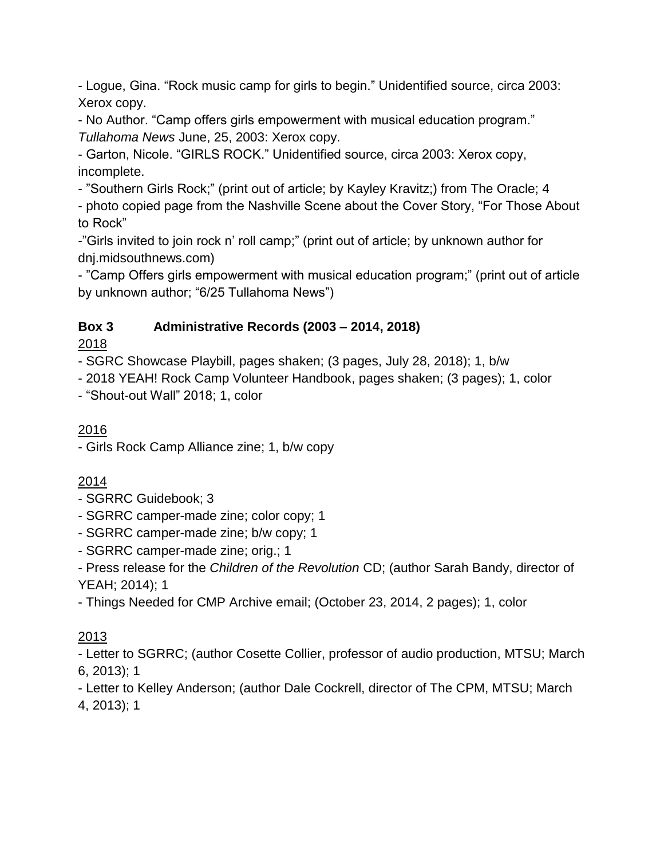- Logue, Gina. "Rock music camp for girls to begin." Unidentified source, circa 2003: Xerox copy.

- No Author. "Camp offers girls empowerment with musical education program." *Tullahoma News* June, 25, 2003: Xerox copy.

- Garton, Nicole. "GIRLS ROCK." Unidentified source, circa 2003: Xerox copy, incomplete.

- "Southern Girls Rock;" (print out of article; by Kayley Kravitz;) from The Oracle; 4

- photo copied page from the Nashville Scene about the Cover Story, "For Those About to Rock"

-"Girls invited to join rock n' roll camp;" (print out of article; by unknown author for dnj.midsouthnews.com)

- "Camp Offers girls empowerment with musical education program;" (print out of article by unknown author; "6/25 Tullahoma News")

# **Box 3 Administrative Records (2003 – 2014, 2018)**

2018

- SGRC Showcase Playbill, pages shaken; (3 pages, July 28, 2018); 1, b/w

- 2018 YEAH! Rock Camp Volunteer Handbook, pages shaken; (3 pages); 1, color

- "Shout-out Wall" 2018; 1, color

# 2016

- Girls Rock Camp Alliance zine; 1, b/w copy

# 2014

# - SGRRC Guidebook; 3

- SGRRC camper-made zine; color copy; 1
- SGRRC camper-made zine; b/w copy; 1
- SGRRC camper-made zine; orig.; 1

- Press release for the *Children of the Revolution* CD; (author Sarah Bandy, director of YEAH; 2014); 1

- Things Needed for CMP Archive email; (October 23, 2014, 2 pages); 1, color

# 2013

- Letter to SGRRC; (author Cosette Collier, professor of audio production, MTSU; March 6, 2013); 1

- Letter to Kelley Anderson; (author Dale Cockrell, director of The CPM, MTSU; March 4, 2013); 1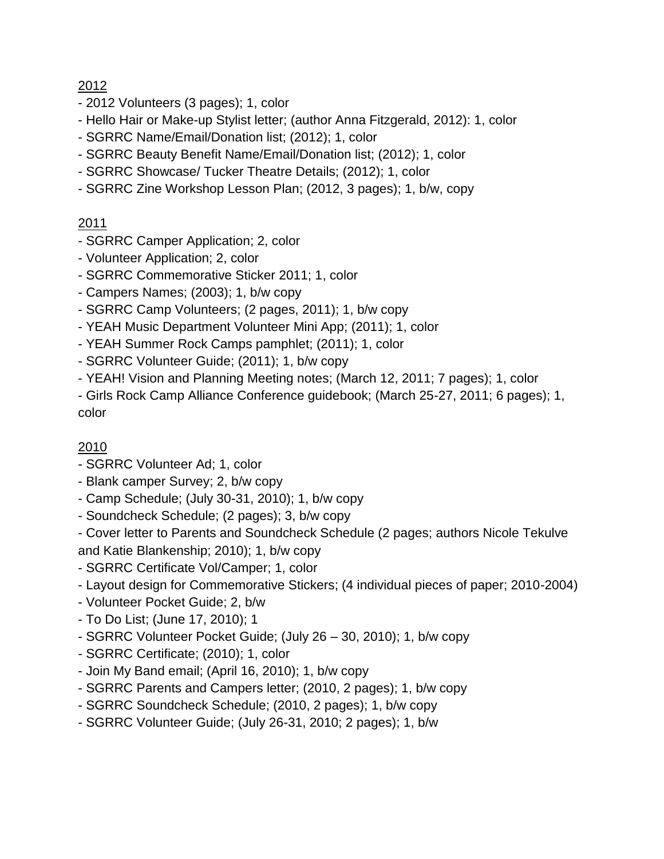- 2012 Volunteers (3 pages); 1, color
- Hello Hair or Make-up Stylist letter; (author Anna Fitzgerald, 2012): 1, color
- SGRRC Name/Email/Donation list; (2012); 1, color
- SGRRC Beauty Benefit Name/Email/Donation list; (2012); 1, color
- SGRRC Showcase/ Tucker Theatre Details; (2012); 1, color
- SGRRC Zine Workshop Lesson Plan; (2012, 3 pages); 1, b/w, copy

# 2011

- SGRRC Camper Application; 2, color
- Volunteer Application; 2, color
- SGRRC Commemorative Sticker 2011; 1, color
- Campers Names; (2003); 1, b/w copy
- SGRRC Camp Volunteers; (2 pages, 2011); 1, b/w copy
- YEAH Music Department Volunteer Mini App; (2011); 1, color
- YEAH Summer Rock Camps pamphlet; (2011); 1, color
- SGRRC Volunteer Guide; (2011); 1, b/w copy
- YEAH! Vision and Planning Meeting notes; (March 12, 2011; 7 pages); 1, color

- Girls Rock Camp Alliance Conference guidebook; (March 25-27, 2011; 6 pages); 1, color

- SGRRC Volunteer Ad; 1, color
- Blank camper Survey; 2, b/w copy
- Camp Schedule; (July 30-31, 2010); 1, b/w copy
- Soundcheck Schedule; (2 pages); 3, b/w copy
- Cover letter to Parents and Soundcheck Schedule (2 pages; authors Nicole Tekulve and Katie Blankenship; 2010); 1, b/w copy
- SGRRC Certificate Vol/Camper; 1, color
- Layout design for Commemorative Stickers; (4 individual pieces of paper; 2010-2004)
- Volunteer Pocket Guide; 2, b/w
- To Do List; (June 17, 2010); 1
- SGRRC Volunteer Pocket Guide; (July 26 30, 2010); 1, b/w copy
- SGRRC Certificate; (2010); 1, color
- Join My Band email; (April 16, 2010); 1, b/w copy
- SGRRC Parents and Campers letter; (2010, 2 pages); 1, b/w copy
- SGRRC Soundcheck Schedule; (2010, 2 pages); 1, b/w copy
- SGRRC Volunteer Guide; (July 26-31, 2010; 2 pages); 1, b/w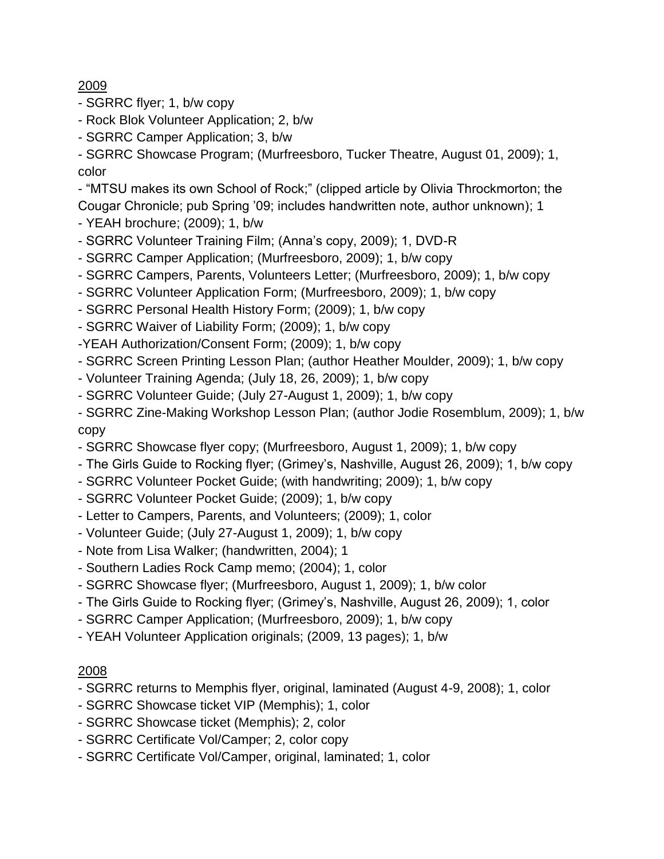- SGRRC flyer; 1, b/w copy
- Rock Blok Volunteer Application; 2, b/w
- SGRRC Camper Application; 3, b/w

- SGRRC Showcase Program; (Murfreesboro, Tucker Theatre, August 01, 2009); 1, color

- "MTSU makes its own School of Rock;" (clipped article by Olivia Throckmorton; the Cougar Chronicle; pub Spring '09; includes handwritten note, author unknown); 1

- YEAH brochure; (2009); 1, b/w
- SGRRC Volunteer Training Film; (Anna's copy, 2009); 1, DVD-R
- SGRRC Camper Application; (Murfreesboro, 2009); 1, b/w copy
- SGRRC Campers, Parents, Volunteers Letter; (Murfreesboro, 2009); 1, b/w copy
- SGRRC Volunteer Application Form; (Murfreesboro, 2009); 1, b/w copy
- SGRRC Personal Health History Form; (2009); 1, b/w copy
- SGRRC Waiver of Liability Form; (2009); 1, b/w copy
- -YEAH Authorization/Consent Form; (2009); 1, b/w copy
- SGRRC Screen Printing Lesson Plan; (author Heather Moulder, 2009); 1, b/w copy
- Volunteer Training Agenda; (July 18, 26, 2009); 1, b/w copy
- SGRRC Volunteer Guide; (July 27-August 1, 2009); 1, b/w copy
- SGRRC Zine-Making Workshop Lesson Plan; (author Jodie Rosemblum, 2009); 1, b/w copy
- SGRRC Showcase flyer copy; (Murfreesboro, August 1, 2009); 1, b/w copy
- The Girls Guide to Rocking flyer; (Grimey's, Nashville, August 26, 2009); 1, b/w copy
- SGRRC Volunteer Pocket Guide; (with handwriting; 2009); 1, b/w copy
- SGRRC Volunteer Pocket Guide; (2009); 1, b/w copy
- Letter to Campers, Parents, and Volunteers; (2009); 1, color
- Volunteer Guide; (July 27-August 1, 2009); 1, b/w copy
- Note from Lisa Walker; (handwritten, 2004); 1
- Southern Ladies Rock Camp memo; (2004); 1, color
- SGRRC Showcase flyer; (Murfreesboro, August 1, 2009); 1, b/w color
- The Girls Guide to Rocking flyer; (Grimey's, Nashville, August 26, 2009); 1, color
- SGRRC Camper Application; (Murfreesboro, 2009); 1, b/w copy
- YEAH Volunteer Application originals; (2009, 13 pages); 1, b/w

- SGRRC returns to Memphis flyer, original, laminated (August 4-9, 2008); 1, color
- SGRRC Showcase ticket VIP (Memphis); 1, color
- SGRRC Showcase ticket (Memphis); 2, color
- SGRRC Certificate Vol/Camper; 2, color copy
- SGRRC Certificate Vol/Camper, original, laminated; 1, color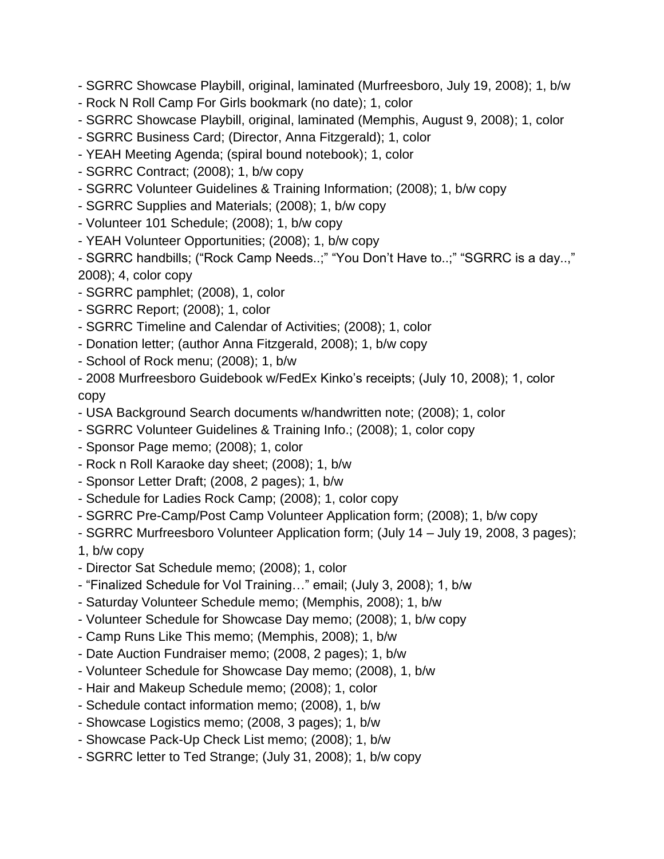- SGRRC Showcase Playbill, original, laminated (Murfreesboro, July 19, 2008); 1, b/w

- Rock N Roll Camp For Girls bookmark (no date); 1, color
- SGRRC Showcase Playbill, original, laminated (Memphis, August 9, 2008); 1, color
- SGRRC Business Card; (Director, Anna Fitzgerald); 1, color
- YEAH Meeting Agenda; (spiral bound notebook); 1, color
- SGRRC Contract; (2008); 1, b/w copy
- SGRRC Volunteer Guidelines & Training Information; (2008); 1, b/w copy
- SGRRC Supplies and Materials; (2008); 1, b/w copy
- Volunteer 101 Schedule; (2008); 1, b/w copy
- YEAH Volunteer Opportunities; (2008); 1, b/w copy

- SGRRC handbills; ("Rock Camp Needs..;" "You Don't Have to..;" "SGRRC is a day..," 2008); 4, color copy

- SGRRC pamphlet; (2008), 1, color
- SGRRC Report; (2008); 1, color
- SGRRC Timeline and Calendar of Activities; (2008); 1, color
- Donation letter; (author Anna Fitzgerald, 2008); 1, b/w copy
- School of Rock menu; (2008); 1, b/w

- 2008 Murfreesboro Guidebook w/FedEx Kinko's receipts; (July 10, 2008); 1, color copy

- USA Background Search documents w/handwritten note; (2008); 1, color
- SGRRC Volunteer Guidelines & Training Info.; (2008); 1, color copy
- Sponsor Page memo; (2008); 1, color
- Rock n Roll Karaoke day sheet; (2008); 1, b/w
- Sponsor Letter Draft; (2008, 2 pages); 1, b/w
- Schedule for Ladies Rock Camp; (2008); 1, color copy
- SGRRC Pre-Camp/Post Camp Volunteer Application form; (2008); 1, b/w copy
- SGRRC Murfreesboro Volunteer Application form; (July 14 July 19, 2008, 3 pages);

1, b/w copy

- Director Sat Schedule memo; (2008); 1, color
- "Finalized Schedule for Vol Training…" email; (July 3, 2008); 1, b/w
- Saturday Volunteer Schedule memo; (Memphis, 2008); 1, b/w
- Volunteer Schedule for Showcase Day memo; (2008); 1, b/w copy
- Camp Runs Like This memo; (Memphis, 2008); 1, b/w
- Date Auction Fundraiser memo; (2008, 2 pages); 1, b/w
- Volunteer Schedule for Showcase Day memo; (2008), 1, b/w
- Hair and Makeup Schedule memo; (2008); 1, color
- Schedule contact information memo; (2008), 1, b/w
- Showcase Logistics memo; (2008, 3 pages); 1, b/w
- Showcase Pack-Up Check List memo; (2008); 1, b/w
- SGRRC letter to Ted Strange; (July 31, 2008); 1, b/w copy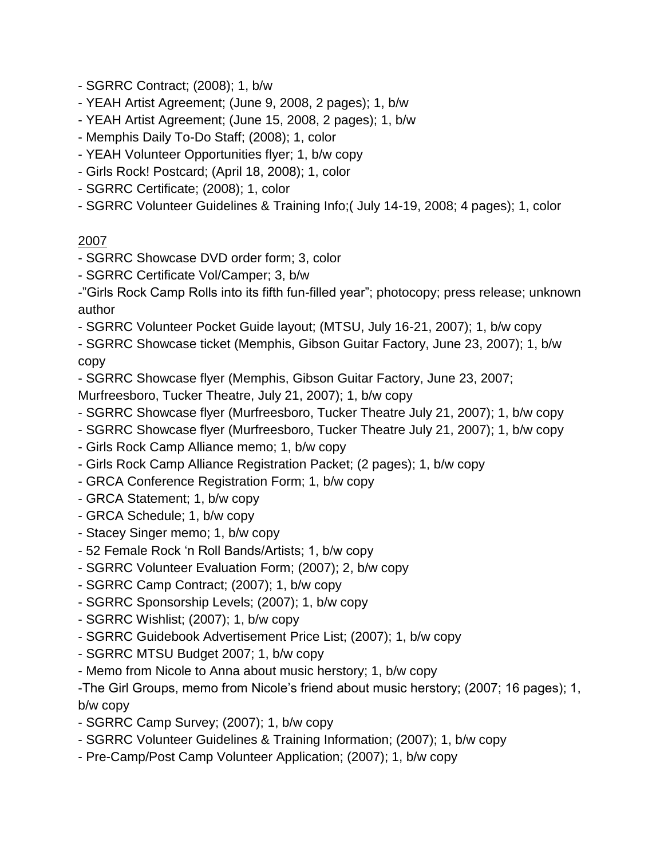- SGRRC Contract; (2008); 1, b/w
- YEAH Artist Agreement; (June 9, 2008, 2 pages); 1, b/w
- YEAH Artist Agreement; (June 15, 2008, 2 pages); 1, b/w
- Memphis Daily To-Do Staff; (2008); 1, color
- YEAH Volunteer Opportunities flyer; 1, b/w copy
- Girls Rock! Postcard; (April 18, 2008); 1, color
- SGRRC Certificate; (2008); 1, color
- SGRRC Volunteer Guidelines & Training Info;( July 14-19, 2008; 4 pages); 1, color

- SGRRC Showcase DVD order form; 3, color
- SGRRC Certificate Vol/Camper; 3, b/w

-"Girls Rock Camp Rolls into its fifth fun-filled year"; photocopy; press release; unknown author

- SGRRC Volunteer Pocket Guide layout; (MTSU, July 16-21, 2007); 1, b/w copy
- SGRRC Showcase ticket (Memphis, Gibson Guitar Factory, June 23, 2007); 1, b/w copy
- SGRRC Showcase flyer (Memphis, Gibson Guitar Factory, June 23, 2007;
- Murfreesboro, Tucker Theatre, July 21, 2007); 1, b/w copy
- SGRRC Showcase flyer (Murfreesboro, Tucker Theatre July 21, 2007); 1, b/w copy
- SGRRC Showcase flyer (Murfreesboro, Tucker Theatre July 21, 2007); 1, b/w copy
- Girls Rock Camp Alliance memo; 1, b/w copy
- Girls Rock Camp Alliance Registration Packet; (2 pages); 1, b/w copy
- GRCA Conference Registration Form; 1, b/w copy
- GRCA Statement; 1, b/w copy
- GRCA Schedule; 1, b/w copy
- Stacey Singer memo; 1, b/w copy
- 52 Female Rock 'n Roll Bands/Artists; 1, b/w copy
- SGRRC Volunteer Evaluation Form; (2007); 2, b/w copy
- SGRRC Camp Contract; (2007); 1, b/w copy
- SGRRC Sponsorship Levels; (2007); 1, b/w copy
- SGRRC Wishlist; (2007); 1, b/w copy
- SGRRC Guidebook Advertisement Price List; (2007); 1, b/w copy
- SGRRC MTSU Budget 2007; 1, b/w copy
- Memo from Nicole to Anna about music herstory; 1, b/w copy

-The Girl Groups, memo from Nicole's friend about music herstory; (2007; 16 pages); 1, b/w copy

- SGRRC Camp Survey; (2007); 1, b/w copy
- SGRRC Volunteer Guidelines & Training Information; (2007); 1, b/w copy
- Pre-Camp/Post Camp Volunteer Application; (2007); 1, b/w copy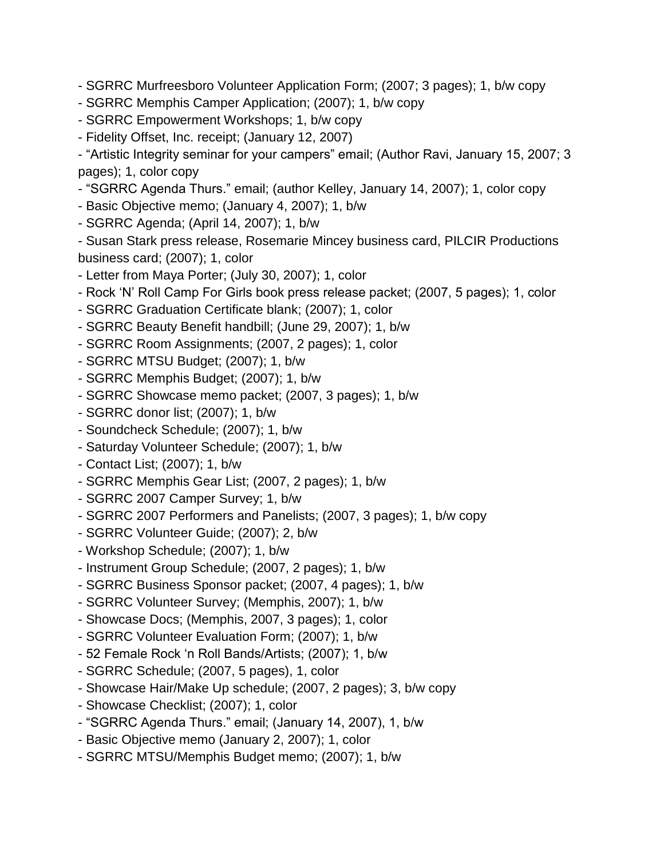- SGRRC Murfreesboro Volunteer Application Form; (2007; 3 pages); 1, b/w copy
- SGRRC Memphis Camper Application; (2007); 1, b/w copy
- SGRRC Empowerment Workshops; 1, b/w copy
- Fidelity Offset, Inc. receipt; (January 12, 2007)

- "Artistic Integrity seminar for your campers" email; (Author Ravi, January 15, 2007; 3 pages); 1, color copy

- "SGRRC Agenda Thurs." email; (author Kelley, January 14, 2007); 1, color copy

- Basic Objective memo; (January 4, 2007); 1, b/w
- SGRRC Agenda; (April 14, 2007); 1, b/w

- Susan Stark press release, Rosemarie Mincey business card, PILCIR Productions business card; (2007); 1, color

- Letter from Maya Porter; (July 30, 2007); 1, color
- Rock 'N' Roll Camp For Girls book press release packet; (2007, 5 pages); 1, color
- SGRRC Graduation Certificate blank; (2007); 1, color
- SGRRC Beauty Benefit handbill; (June 29, 2007); 1, b/w
- SGRRC Room Assignments; (2007, 2 pages); 1, color
- SGRRC MTSU Budget; (2007); 1, b/w
- SGRRC Memphis Budget; (2007); 1, b/w
- SGRRC Showcase memo packet; (2007, 3 pages); 1, b/w
- SGRRC donor list; (2007); 1, b/w
- Soundcheck Schedule; (2007); 1, b/w
- Saturday Volunteer Schedule; (2007); 1, b/w
- Contact List; (2007); 1, b/w
- SGRRC Memphis Gear List; (2007, 2 pages); 1, b/w
- SGRRC 2007 Camper Survey; 1, b/w
- SGRRC 2007 Performers and Panelists; (2007, 3 pages); 1, b/w copy
- SGRRC Volunteer Guide; (2007); 2, b/w
- Workshop Schedule; (2007); 1, b/w
- Instrument Group Schedule; (2007, 2 pages); 1, b/w
- SGRRC Business Sponsor packet; (2007, 4 pages); 1, b/w
- SGRRC Volunteer Survey; (Memphis, 2007); 1, b/w
- Showcase Docs; (Memphis, 2007, 3 pages); 1, color
- SGRRC Volunteer Evaluation Form; (2007); 1, b/w
- 52 Female Rock 'n Roll Bands/Artists; (2007); 1, b/w
- SGRRC Schedule; (2007, 5 pages), 1, color
- Showcase Hair/Make Up schedule; (2007, 2 pages); 3, b/w copy
- Showcase Checklist; (2007); 1, color
- "SGRRC Agenda Thurs." email; (January 14, 2007), 1, b/w
- Basic Objective memo (January 2, 2007); 1, color
- SGRRC MTSU/Memphis Budget memo; (2007); 1, b/w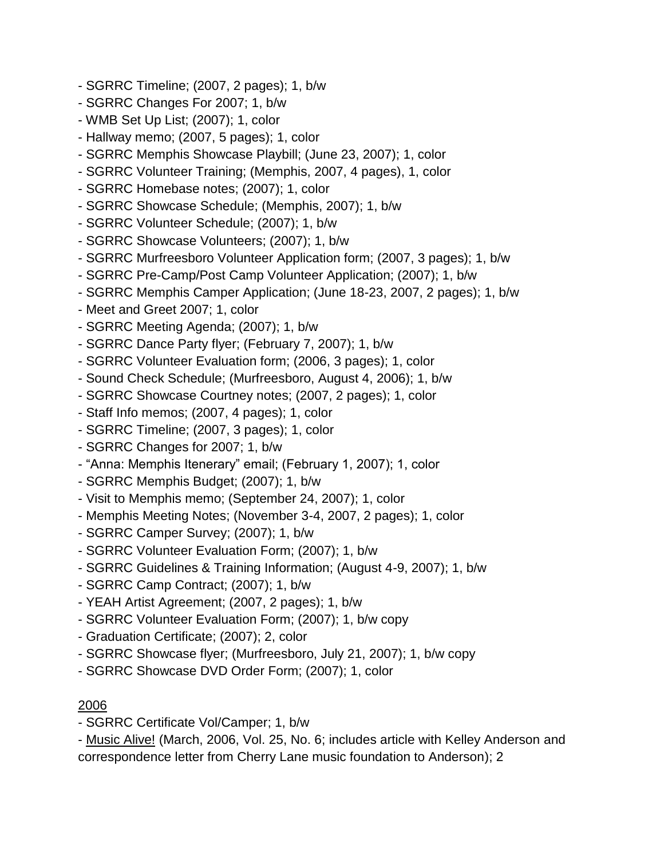- SGRRC Timeline; (2007, 2 pages); 1, b/w
- SGRRC Changes For 2007; 1, b/w
- WMB Set Up List; (2007); 1, color
- Hallway memo; (2007, 5 pages); 1, color
- SGRRC Memphis Showcase Playbill; (June 23, 2007); 1, color
- SGRRC Volunteer Training; (Memphis, 2007, 4 pages), 1, color
- SGRRC Homebase notes; (2007); 1, color
- SGRRC Showcase Schedule; (Memphis, 2007); 1, b/w
- SGRRC Volunteer Schedule; (2007); 1, b/w
- SGRRC Showcase Volunteers; (2007); 1, b/w
- SGRRC Murfreesboro Volunteer Application form; (2007, 3 pages); 1, b/w
- SGRRC Pre-Camp/Post Camp Volunteer Application; (2007); 1, b/w
- SGRRC Memphis Camper Application; (June 18-23, 2007, 2 pages); 1, b/w
- Meet and Greet 2007; 1, color
- SGRRC Meeting Agenda; (2007); 1, b/w
- SGRRC Dance Party flyer; (February 7, 2007); 1, b/w
- SGRRC Volunteer Evaluation form; (2006, 3 pages); 1, color
- Sound Check Schedule; (Murfreesboro, August 4, 2006); 1, b/w
- SGRRC Showcase Courtney notes; (2007, 2 pages); 1, color
- Staff Info memos; (2007, 4 pages); 1, color
- SGRRC Timeline; (2007, 3 pages); 1, color
- SGRRC Changes for 2007; 1, b/w
- "Anna: Memphis Itenerary" email; (February 1, 2007); 1, color
- SGRRC Memphis Budget; (2007); 1, b/w
- Visit to Memphis memo; (September 24, 2007); 1, color
- Memphis Meeting Notes; (November 3-4, 2007, 2 pages); 1, color
- SGRRC Camper Survey; (2007); 1, b/w
- SGRRC Volunteer Evaluation Form; (2007); 1, b/w
- SGRRC Guidelines & Training Information; (August 4-9, 2007); 1, b/w
- SGRRC Camp Contract; (2007); 1, b/w
- YEAH Artist Agreement; (2007, 2 pages); 1, b/w
- SGRRC Volunteer Evaluation Form; (2007); 1, b/w copy
- Graduation Certificate; (2007); 2, color
- SGRRC Showcase flyer; (Murfreesboro, July 21, 2007); 1, b/w copy
- SGRRC Showcase DVD Order Form; (2007); 1, color

- SGRRC Certificate Vol/Camper; 1, b/w

- Music Alive! (March, 2006, Vol. 25, No. 6; includes article with Kelley Anderson and correspondence letter from Cherry Lane music foundation to Anderson); 2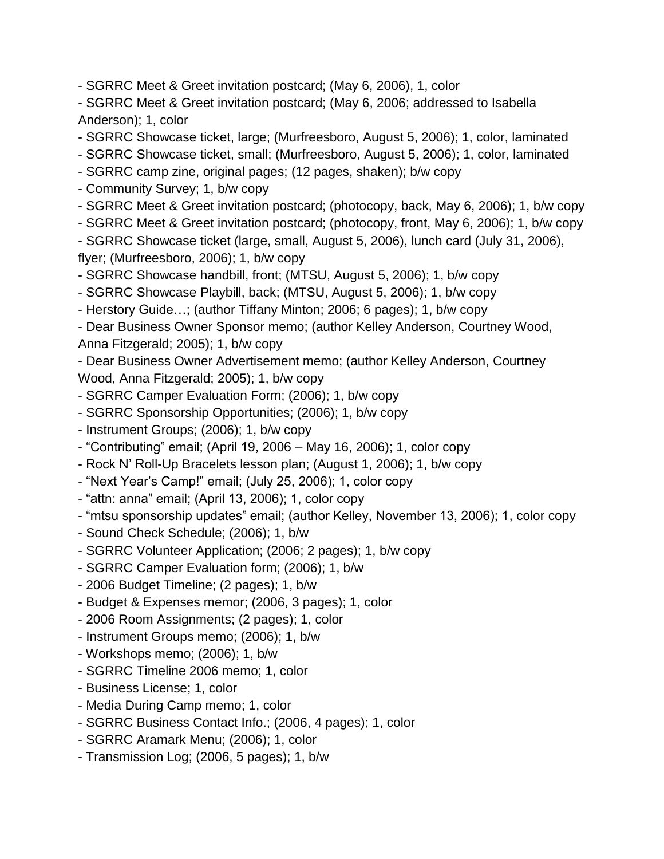- SGRRC Meet & Greet invitation postcard; (May 6, 2006), 1, color

- SGRRC Meet & Greet invitation postcard; (May 6, 2006; addressed to Isabella Anderson); 1, color

- SGRRC Showcase ticket, large; (Murfreesboro, August 5, 2006); 1, color, laminated

- SGRRC Showcase ticket, small; (Murfreesboro, August 5, 2006); 1, color, laminated

- SGRRC camp zine, original pages; (12 pages, shaken); b/w copy

- Community Survey; 1, b/w copy

- SGRRC Meet & Greet invitation postcard; (photocopy, back, May 6, 2006); 1, b/w copy

- SGRRC Meet & Greet invitation postcard; (photocopy, front, May 6, 2006); 1, b/w copy

- SGRRC Showcase ticket (large, small, August 5, 2006), lunch card (July 31, 2006),

flyer; (Murfreesboro, 2006); 1, b/w copy

- SGRRC Showcase handbill, front; (MTSU, August 5, 2006); 1, b/w copy

- SGRRC Showcase Playbill, back; (MTSU, August 5, 2006); 1, b/w copy

- Herstory Guide…; (author Tiffany Minton; 2006; 6 pages); 1, b/w copy

- Dear Business Owner Sponsor memo; (author Kelley Anderson, Courtney Wood, Anna Fitzgerald; 2005); 1, b/w copy

- Dear Business Owner Advertisement memo; (author Kelley Anderson, Courtney Wood, Anna Fitzgerald; 2005); 1, b/w copy

- SGRRC Camper Evaluation Form; (2006); 1, b/w copy
- SGRRC Sponsorship Opportunities; (2006); 1, b/w copy
- Instrument Groups; (2006); 1, b/w copy
- "Contributing" email; (April 19, 2006 May 16, 2006); 1, color copy
- Rock N' Roll-Up Bracelets lesson plan; (August 1, 2006); 1, b/w copy
- "Next Year's Camp!" email; (July 25, 2006); 1, color copy
- "attn: anna" email; (April 13, 2006); 1, color copy

- "mtsu sponsorship updates" email; (author Kelley, November 13, 2006); 1, color copy

- Sound Check Schedule; (2006); 1, b/w
- SGRRC Volunteer Application; (2006; 2 pages); 1, b/w copy
- SGRRC Camper Evaluation form; (2006); 1, b/w
- 2006 Budget Timeline; (2 pages); 1, b/w
- Budget & Expenses memor; (2006, 3 pages); 1, color
- 2006 Room Assignments; (2 pages); 1, color
- Instrument Groups memo; (2006); 1, b/w
- Workshops memo; (2006); 1, b/w
- SGRRC Timeline 2006 memo; 1, color
- Business License; 1, color
- Media During Camp memo; 1, color
- SGRRC Business Contact Info.; (2006, 4 pages); 1, color
- SGRRC Aramark Menu; (2006); 1, color
- Transmission Log; (2006, 5 pages); 1, b/w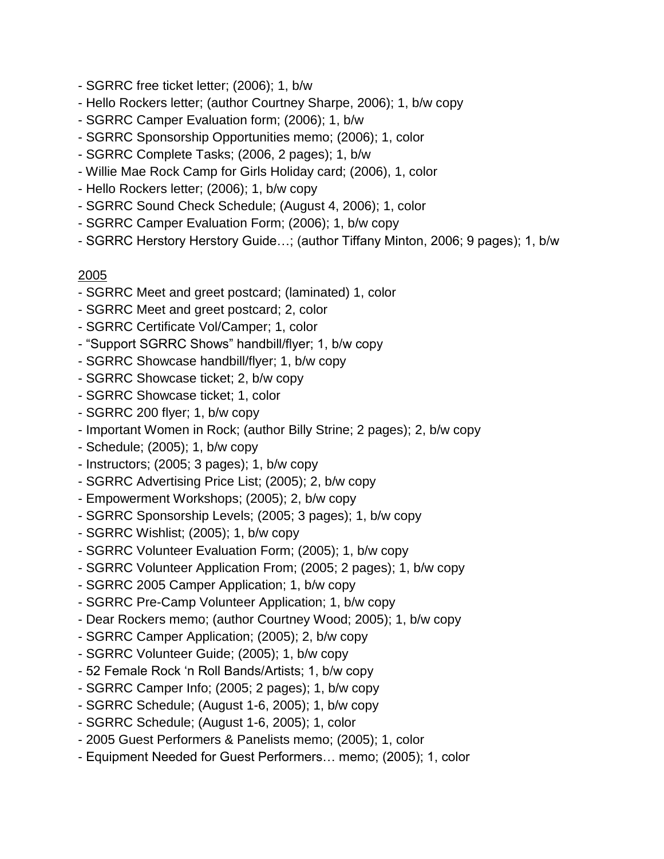- SGRRC free ticket letter; (2006); 1, b/w
- Hello Rockers letter; (author Courtney Sharpe, 2006); 1, b/w copy
- SGRRC Camper Evaluation form; (2006); 1, b/w
- SGRRC Sponsorship Opportunities memo; (2006); 1, color
- SGRRC Complete Tasks; (2006, 2 pages); 1, b/w
- Willie Mae Rock Camp for Girls Holiday card; (2006), 1, color
- Hello Rockers letter; (2006); 1, b/w copy
- SGRRC Sound Check Schedule; (August 4, 2006); 1, color
- SGRRC Camper Evaluation Form; (2006); 1, b/w copy
- SGRRC Herstory Herstory Guide…; (author Tiffany Minton, 2006; 9 pages); 1, b/w

- SGRRC Meet and greet postcard; (laminated) 1, color
- SGRRC Meet and greet postcard; 2, color
- SGRRC Certificate Vol/Camper; 1, color
- "Support SGRRC Shows" handbill/flyer; 1, b/w copy
- SGRRC Showcase handbill/flyer; 1, b/w copy
- SGRRC Showcase ticket; 2, b/w copy
- SGRRC Showcase ticket; 1, color
- SGRRC 200 flyer; 1, b/w copy
- Important Women in Rock; (author Billy Strine; 2 pages); 2, b/w copy
- Schedule; (2005); 1, b/w copy
- Instructors; (2005; 3 pages); 1, b/w copy
- SGRRC Advertising Price List; (2005); 2, b/w copy
- Empowerment Workshops; (2005); 2, b/w copy
- SGRRC Sponsorship Levels; (2005; 3 pages); 1, b/w copy
- SGRRC Wishlist; (2005); 1, b/w copy
- SGRRC Volunteer Evaluation Form; (2005); 1, b/w copy
- SGRRC Volunteer Application From; (2005; 2 pages); 1, b/w copy
- SGRRC 2005 Camper Application; 1, b/w copy
- SGRRC Pre-Camp Volunteer Application; 1, b/w copy
- Dear Rockers memo; (author Courtney Wood; 2005); 1, b/w copy
- SGRRC Camper Application; (2005); 2, b/w copy
- SGRRC Volunteer Guide; (2005); 1, b/w copy
- 52 Female Rock 'n Roll Bands/Artists; 1, b/w copy
- SGRRC Camper Info; (2005; 2 pages); 1, b/w copy
- SGRRC Schedule; (August 1-6, 2005); 1, b/w copy
- SGRRC Schedule; (August 1-6, 2005); 1, color
- 2005 Guest Performers & Panelists memo; (2005); 1, color
- Equipment Needed for Guest Performers… memo; (2005); 1, color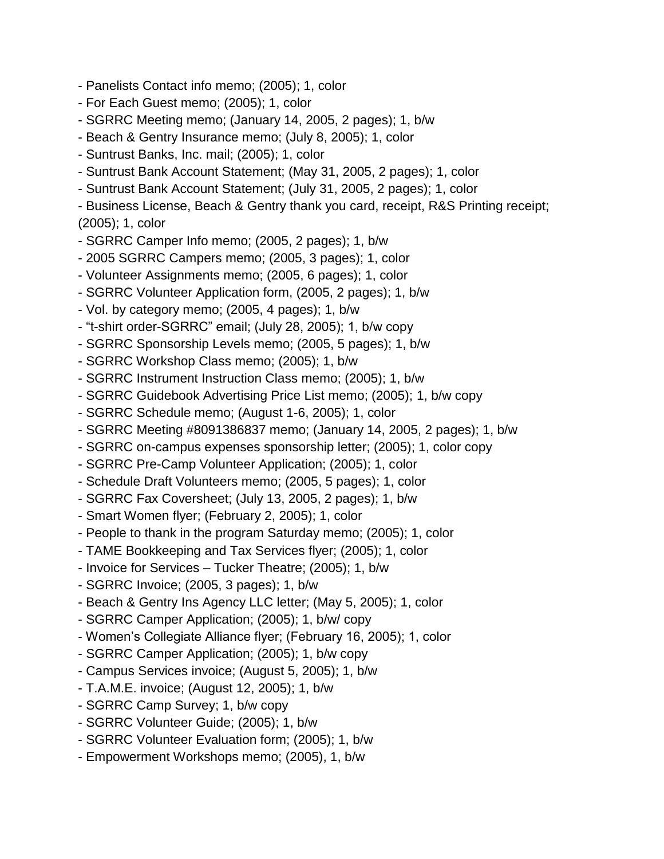- Panelists Contact info memo; (2005); 1, color
- For Each Guest memo; (2005); 1, color
- SGRRC Meeting memo; (January 14, 2005, 2 pages); 1, b/w
- Beach & Gentry Insurance memo; (July 8, 2005); 1, color
- Suntrust Banks, Inc. mail; (2005); 1, color
- Suntrust Bank Account Statement; (May 31, 2005, 2 pages); 1, color
- Suntrust Bank Account Statement; (July 31, 2005, 2 pages); 1, color
- Business License, Beach & Gentry thank you card, receipt, R&S Printing receipt; (2005); 1, color
- SGRRC Camper Info memo; (2005, 2 pages); 1, b/w
- 2005 SGRRC Campers memo; (2005, 3 pages); 1, color
- Volunteer Assignments memo; (2005, 6 pages); 1, color
- SGRRC Volunteer Application form, (2005, 2 pages); 1, b/w
- Vol. by category memo; (2005, 4 pages); 1, b/w
- "t-shirt order-SGRRC" email; (July 28, 2005); 1, b/w copy
- SGRRC Sponsorship Levels memo; (2005, 5 pages); 1, b/w
- SGRRC Workshop Class memo; (2005); 1, b/w
- SGRRC Instrument Instruction Class memo; (2005); 1, b/w
- SGRRC Guidebook Advertising Price List memo; (2005); 1, b/w copy
- SGRRC Schedule memo; (August 1-6, 2005); 1, color
- SGRRC Meeting #8091386837 memo; (January 14, 2005, 2 pages); 1, b/w
- SGRRC on-campus expenses sponsorship letter; (2005); 1, color copy
- SGRRC Pre-Camp Volunteer Application; (2005); 1, color
- Schedule Draft Volunteers memo; (2005, 5 pages); 1, color
- SGRRC Fax Coversheet; (July 13, 2005, 2 pages); 1, b/w
- Smart Women flyer; (February 2, 2005); 1, color
- People to thank in the program Saturday memo; (2005); 1, color
- TAME Bookkeeping and Tax Services flyer; (2005); 1, color
- Invoice for Services Tucker Theatre; (2005); 1, b/w
- SGRRC Invoice; (2005, 3 pages); 1, b/w
- Beach & Gentry Ins Agency LLC letter; (May 5, 2005); 1, color
- SGRRC Camper Application; (2005); 1, b/w/ copy
- Women's Collegiate Alliance flyer; (February 16, 2005); 1, color
- SGRRC Camper Application; (2005); 1, b/w copy
- Campus Services invoice; (August 5, 2005); 1, b/w
- T.A.M.E. invoice; (August 12, 2005); 1, b/w
- SGRRC Camp Survey; 1, b/w copy
- SGRRC Volunteer Guide; (2005); 1, b/w
- SGRRC Volunteer Evaluation form; (2005); 1, b/w
- Empowerment Workshops memo; (2005), 1, b/w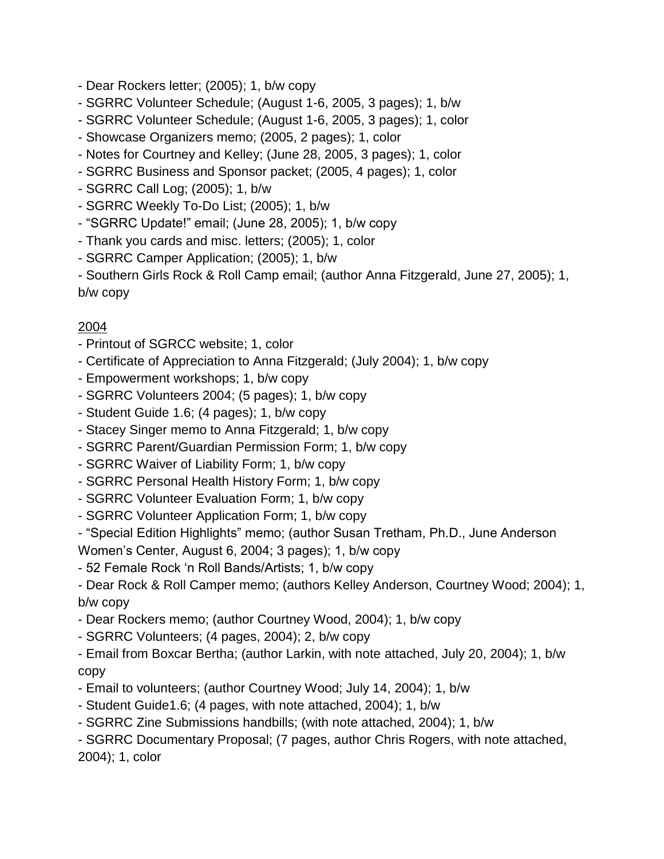- Dear Rockers letter; (2005); 1, b/w copy
- SGRRC Volunteer Schedule; (August 1-6, 2005, 3 pages); 1, b/w
- SGRRC Volunteer Schedule; (August 1-6, 2005, 3 pages); 1, color
- Showcase Organizers memo; (2005, 2 pages); 1, color
- Notes for Courtney and Kelley; (June 28, 2005, 3 pages); 1, color
- SGRRC Business and Sponsor packet; (2005, 4 pages); 1, color
- SGRRC Call Log; (2005); 1, b/w
- SGRRC Weekly To-Do List; (2005); 1, b/w
- "SGRRC Update!" email; (June 28, 2005); 1, b/w copy
- Thank you cards and misc. letters; (2005); 1, color
- SGRRC Camper Application; (2005); 1, b/w

- Southern Girls Rock & Roll Camp email; (author Anna Fitzgerald, June 27, 2005); 1, b/w copy

### 2004

- Printout of SGRCC website; 1, color
- Certificate of Appreciation to Anna Fitzgerald; (July 2004); 1, b/w copy
- Empowerment workshops; 1, b/w copy
- SGRRC Volunteers 2004; (5 pages); 1, b/w copy
- Student Guide 1.6; (4 pages); 1, b/w copy
- Stacey Singer memo to Anna Fitzgerald; 1, b/w copy
- SGRRC Parent/Guardian Permission Form; 1, b/w copy
- SGRRC Waiver of Liability Form; 1, b/w copy
- SGRRC Personal Health History Form; 1, b/w copy
- SGRRC Volunteer Evaluation Form; 1, b/w copy
- SGRRC Volunteer Application Form; 1, b/w copy
- "Special Edition Highlights" memo; (author Susan Tretham, Ph.D., June Anderson
- Women's Center, August 6, 2004; 3 pages); 1, b/w copy
- 52 Female Rock 'n Roll Bands/Artists; 1, b/w copy

- Dear Rock & Roll Camper memo; (authors Kelley Anderson, Courtney Wood; 2004); 1, b/w copy

- Dear Rockers memo; (author Courtney Wood, 2004); 1, b/w copy
- SGRRC Volunteers; (4 pages, 2004); 2, b/w copy
- Email from Boxcar Bertha; (author Larkin, with note attached, July 20, 2004); 1, b/w copy
- Email to volunteers; (author Courtney Wood; July 14, 2004); 1, b/w
- Student Guide1.6; (4 pages, with note attached, 2004); 1, b/w
- SGRRC Zine Submissions handbills; (with note attached, 2004); 1, b/w

- SGRRC Documentary Proposal; (7 pages, author Chris Rogers, with note attached, 2004); 1, color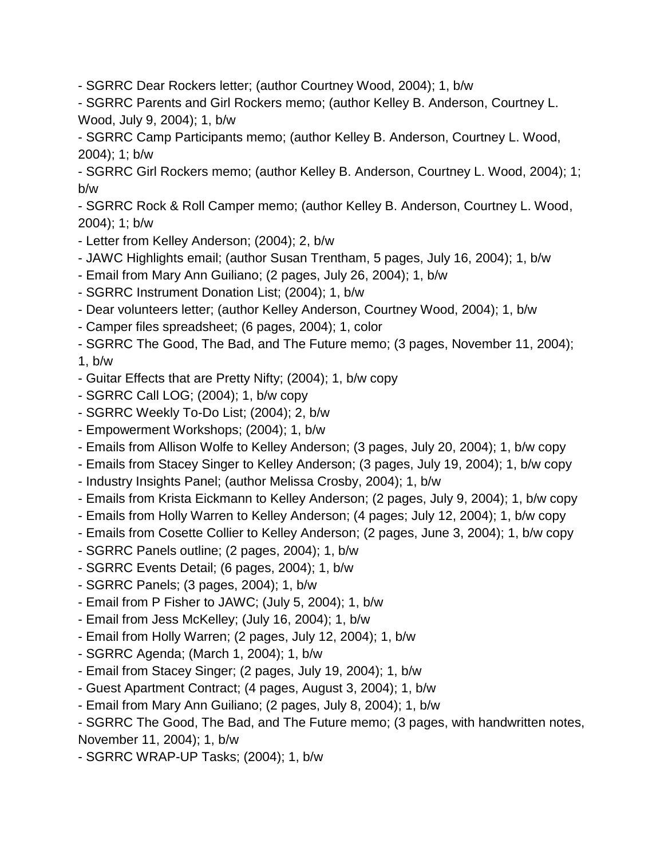- SGRRC Dear Rockers letter; (author Courtney Wood, 2004); 1, b/w

- SGRRC Parents and Girl Rockers memo; (author Kelley B. Anderson, Courtney L. Wood, July 9, 2004); 1, b/w

- SGRRC Camp Participants memo; (author Kelley B. Anderson, Courtney L. Wood, 2004); 1; b/w

- SGRRC Girl Rockers memo; (author Kelley B. Anderson, Courtney L. Wood, 2004); 1; b/w

- SGRRC Rock & Roll Camper memo; (author Kelley B. Anderson, Courtney L. Wood, 2004); 1; b/w

- Letter from Kelley Anderson; (2004); 2, b/w
- JAWC Highlights email; (author Susan Trentham, 5 pages, July 16, 2004); 1, b/w
- Email from Mary Ann Guiliano; (2 pages, July 26, 2004); 1, b/w
- SGRRC Instrument Donation List; (2004); 1, b/w
- Dear volunteers letter; (author Kelley Anderson, Courtney Wood, 2004); 1, b/w
- Camper files spreadsheet; (6 pages, 2004); 1, color
- SGRRC The Good, The Bad, and The Future memo; (3 pages, November 11, 2004);

1, b/w

- Guitar Effects that are Pretty Nifty; (2004); 1, b/w copy
- SGRRC Call LOG; (2004); 1, b/w copy
- SGRRC Weekly To-Do List; (2004); 2, b/w
- Empowerment Workshops; (2004); 1, b/w
- Emails from Allison Wolfe to Kelley Anderson; (3 pages, July 20, 2004); 1, b/w copy
- Emails from Stacey Singer to Kelley Anderson; (3 pages, July 19, 2004); 1, b/w copy
- Industry Insights Panel; (author Melissa Crosby, 2004); 1, b/w
- Emails from Krista Eickmann to Kelley Anderson; (2 pages, July 9, 2004); 1, b/w copy
- Emails from Holly Warren to Kelley Anderson; (4 pages; July 12, 2004); 1, b/w copy
- Emails from Cosette Collier to Kelley Anderson; (2 pages, June 3, 2004); 1, b/w copy
- SGRRC Panels outline; (2 pages, 2004); 1, b/w
- SGRRC Events Detail; (6 pages, 2004); 1, b/w
- SGRRC Panels; (3 pages, 2004); 1, b/w
- Email from P Fisher to JAWC; (July 5, 2004); 1, b/w
- Email from Jess McKelley; (July 16, 2004); 1, b/w
- Email from Holly Warren; (2 pages, July 12, 2004); 1, b/w
- SGRRC Agenda; (March 1, 2004); 1, b/w
- Email from Stacey Singer; (2 pages, July 19, 2004); 1, b/w
- Guest Apartment Contract; (4 pages, August 3, 2004); 1, b/w
- Email from Mary Ann Guiliano; (2 pages, July 8, 2004); 1, b/w
- SGRRC The Good, The Bad, and The Future memo; (3 pages, with handwritten notes, November 11, 2004); 1, b/w
- SGRRC WRAP-UP Tasks; (2004); 1, b/w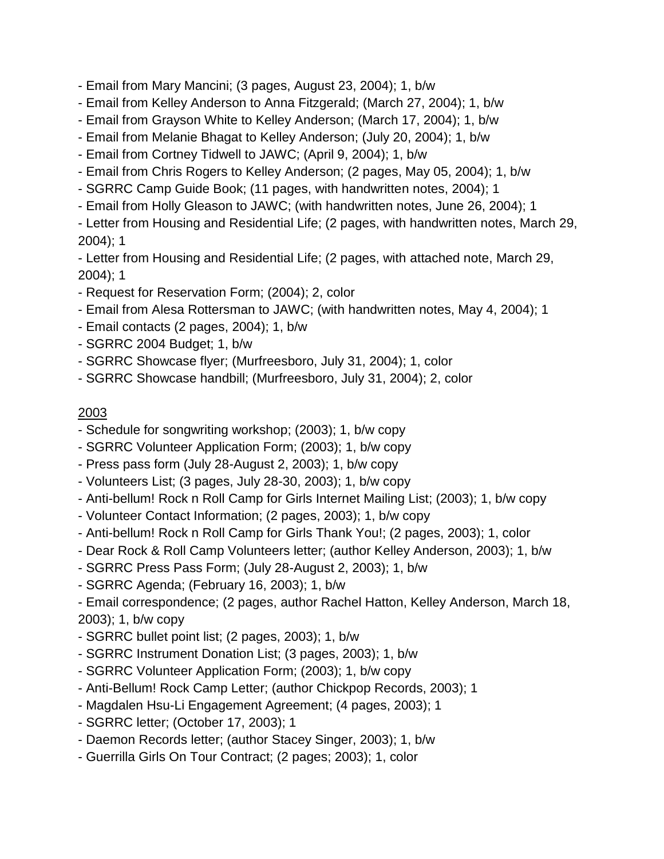- Email from Mary Mancini; (3 pages, August 23, 2004); 1, b/w

- Email from Kelley Anderson to Anna Fitzgerald; (March 27, 2004); 1, b/w
- Email from Grayson White to Kelley Anderson; (March 17, 2004); 1, b/w
- Email from Melanie Bhagat to Kelley Anderson; (July 20, 2004); 1, b/w
- Email from Cortney Tidwell to JAWC; (April 9, 2004); 1, b/w
- Email from Chris Rogers to Kelley Anderson; (2 pages, May 05, 2004); 1, b/w
- SGRRC Camp Guide Book; (11 pages, with handwritten notes, 2004); 1
- Email from Holly Gleason to JAWC; (with handwritten notes, June 26, 2004); 1

- Letter from Housing and Residential Life; (2 pages, with handwritten notes, March 29, 2004); 1

- Letter from Housing and Residential Life; (2 pages, with attached note, March 29, 2004); 1

- Request for Reservation Form; (2004); 2, color
- Email from Alesa Rottersman to JAWC; (with handwritten notes, May 4, 2004); 1
- Email contacts (2 pages, 2004); 1, b/w
- SGRRC 2004 Budget; 1, b/w
- SGRRC Showcase flyer; (Murfreesboro, July 31, 2004); 1, color
- SGRRC Showcase handbill; (Murfreesboro, July 31, 2004); 2, color

### 2003

- Schedule for songwriting workshop; (2003); 1, b/w copy
- SGRRC Volunteer Application Form; (2003); 1, b/w copy
- Press pass form (July 28-August 2, 2003); 1, b/w copy
- Volunteers List; (3 pages, July 28-30, 2003); 1, b/w copy
- Anti-bellum! Rock n Roll Camp for Girls Internet Mailing List; (2003); 1, b/w copy
- Volunteer Contact Information; (2 pages, 2003); 1, b/w copy
- Anti-bellum! Rock n Roll Camp for Girls Thank You!; (2 pages, 2003); 1, color
- Dear Rock & Roll Camp Volunteers letter; (author Kelley Anderson, 2003); 1, b/w
- SGRRC Press Pass Form; (July 28-August 2, 2003); 1, b/w
- SGRRC Agenda; (February 16, 2003); 1, b/w

- Email correspondence; (2 pages, author Rachel Hatton, Kelley Anderson, March 18, 2003); 1, b/w copy

- SGRRC bullet point list; (2 pages, 2003); 1, b/w
- SGRRC Instrument Donation List; (3 pages, 2003); 1, b/w
- SGRRC Volunteer Application Form; (2003); 1, b/w copy
- Anti-Bellum! Rock Camp Letter; (author Chickpop Records, 2003); 1
- Magdalen Hsu-Li Engagement Agreement; (4 pages, 2003); 1
- SGRRC letter; (October 17, 2003); 1
- Daemon Records letter; (author Stacey Singer, 2003); 1, b/w
- Guerrilla Girls On Tour Contract; (2 pages; 2003); 1, color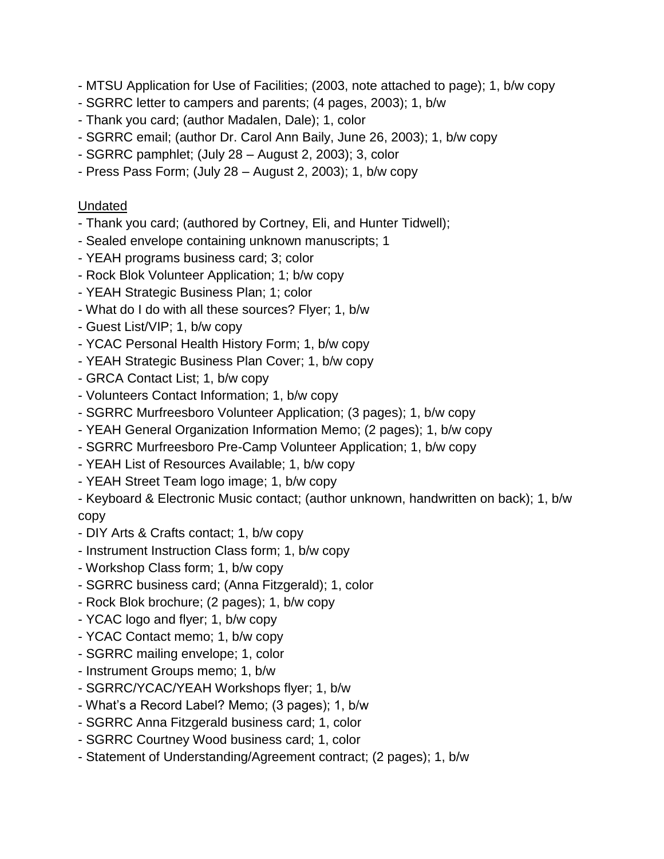- MTSU Application for Use of Facilities; (2003, note attached to page); 1, b/w copy
- SGRRC letter to campers and parents; (4 pages, 2003); 1, b/w
- Thank you card; (author Madalen, Dale); 1, color
- SGRRC email; (author Dr. Carol Ann Baily, June 26, 2003); 1, b/w copy
- SGRRC pamphlet; (July 28 August 2, 2003); 3, color
- Press Pass Form; (July 28 August 2, 2003); 1, b/w copy

#### Undated

- Thank you card; (authored by Cortney, Eli, and Hunter Tidwell);
- Sealed envelope containing unknown manuscripts; 1
- YEAH programs business card; 3; color
- Rock Blok Volunteer Application; 1; b/w copy
- YEAH Strategic Business Plan; 1; color
- What do I do with all these sources? Flyer; 1, b/w
- Guest List/VIP; 1, b/w copy
- YCAC Personal Health History Form; 1, b/w copy
- YEAH Strategic Business Plan Cover; 1, b/w copy
- GRCA Contact List; 1, b/w copy
- Volunteers Contact Information; 1, b/w copy
- SGRRC Murfreesboro Volunteer Application; (3 pages); 1, b/w copy
- YEAH General Organization Information Memo; (2 pages); 1, b/w copy
- SGRRC Murfreesboro Pre-Camp Volunteer Application; 1, b/w copy
- YEAH List of Resources Available; 1, b/w copy
- YEAH Street Team logo image; 1, b/w copy
- Keyboard & Electronic Music contact; (author unknown, handwritten on back); 1, b/w copy
- DIY Arts & Crafts contact; 1, b/w copy
- Instrument Instruction Class form; 1, b/w copy
- Workshop Class form; 1, b/w copy
- SGRRC business card; (Anna Fitzgerald); 1, color
- Rock Blok brochure; (2 pages); 1, b/w copy
- YCAC logo and flyer; 1, b/w copy
- YCAC Contact memo; 1, b/w copy
- SGRRC mailing envelope; 1, color
- Instrument Groups memo; 1, b/w
- SGRRC/YCAC/YEAH Workshops flyer; 1, b/w
- What's a Record Label? Memo; (3 pages); 1, b/w
- SGRRC Anna Fitzgerald business card; 1, color
- SGRRC Courtney Wood business card; 1, color
- Statement of Understanding/Agreement contract; (2 pages); 1, b/w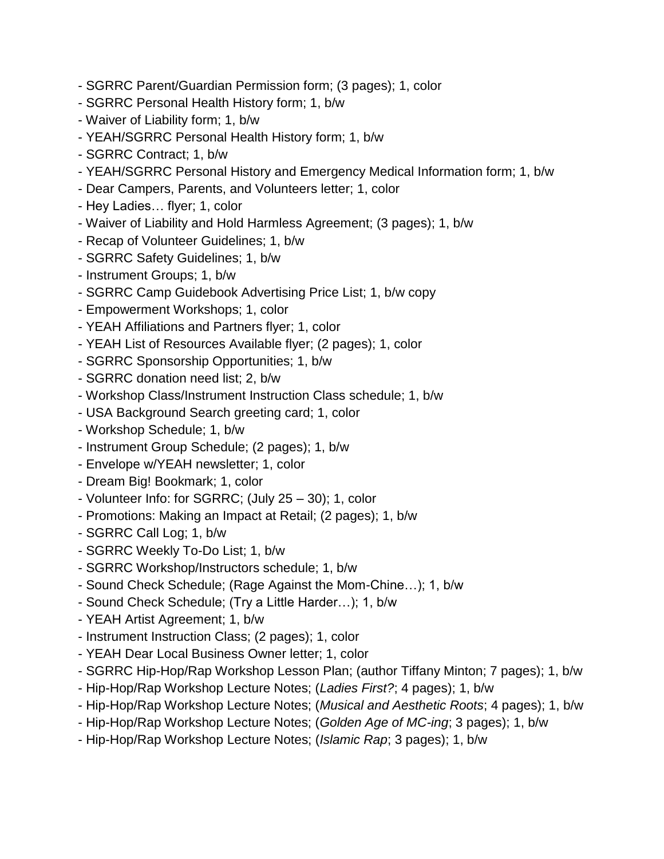- SGRRC Parent/Guardian Permission form; (3 pages); 1, color
- SGRRC Personal Health History form; 1, b/w
- Waiver of Liability form; 1, b/w
- YEAH/SGRRC Personal Health History form; 1, b/w
- SGRRC Contract; 1, b/w
- YEAH/SGRRC Personal History and Emergency Medical Information form; 1, b/w
- Dear Campers, Parents, and Volunteers letter; 1, color
- Hey Ladies… flyer; 1, color
- Waiver of Liability and Hold Harmless Agreement; (3 pages); 1, b/w
- Recap of Volunteer Guidelines; 1, b/w
- SGRRC Safety Guidelines; 1, b/w
- Instrument Groups; 1, b/w
- SGRRC Camp Guidebook Advertising Price List; 1, b/w copy
- Empowerment Workshops; 1, color
- YEAH Affiliations and Partners flyer; 1, color
- YEAH List of Resources Available flyer; (2 pages); 1, color
- SGRRC Sponsorship Opportunities; 1, b/w
- SGRRC donation need list; 2, b/w
- Workshop Class/Instrument Instruction Class schedule; 1, b/w
- USA Background Search greeting card; 1, color
- Workshop Schedule; 1, b/w
- Instrument Group Schedule; (2 pages); 1, b/w
- Envelope w/YEAH newsletter; 1, color
- Dream Big! Bookmark; 1, color
- Volunteer Info: for SGRRC; (July 25 30); 1, color
- Promotions: Making an Impact at Retail; (2 pages); 1, b/w
- SGRRC Call Log; 1, b/w
- SGRRC Weekly To-Do List; 1, b/w
- SGRRC Workshop/Instructors schedule; 1, b/w
- Sound Check Schedule; (Rage Against the Mom-Chine…); 1, b/w
- Sound Check Schedule; (Try a Little Harder…); 1, b/w
- YEAH Artist Agreement; 1, b/w
- Instrument Instruction Class; (2 pages); 1, color
- YEAH Dear Local Business Owner letter; 1, color
- SGRRC Hip-Hop/Rap Workshop Lesson Plan; (author Tiffany Minton; 7 pages); 1, b/w
- Hip-Hop/Rap Workshop Lecture Notes; (*Ladies First?*; 4 pages); 1, b/w
- Hip-Hop/Rap Workshop Lecture Notes; (*Musical and Aesthetic Roots*; 4 pages); 1, b/w
- Hip-Hop/Rap Workshop Lecture Notes; (*Golden Age of MC-ing*; 3 pages); 1, b/w
- Hip-Hop/Rap Workshop Lecture Notes; (*Islamic Rap*; 3 pages); 1, b/w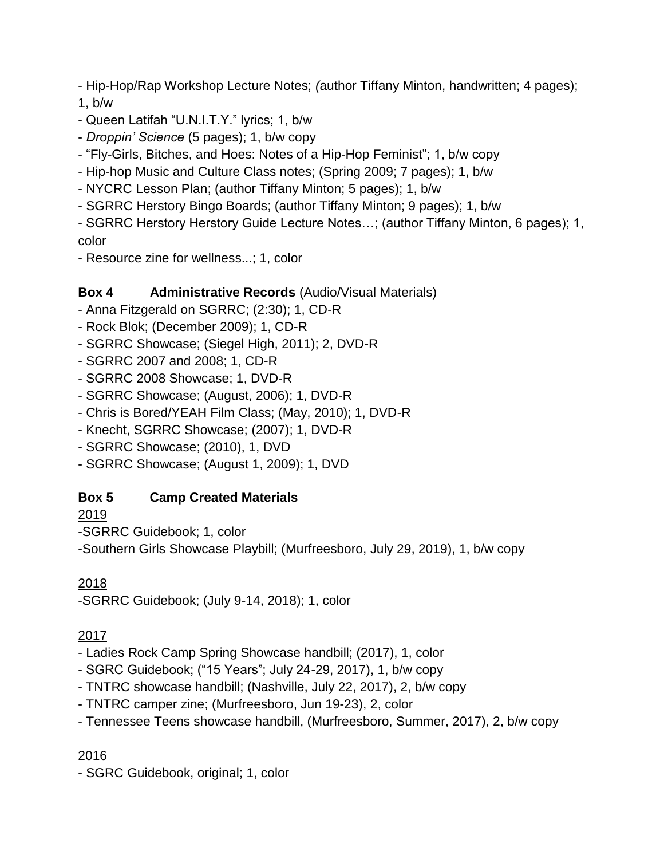- Hip-Hop/Rap Workshop Lecture Notes; *(*author Tiffany Minton, handwritten; 4 pages); 1, b/w

- Queen Latifah "U.N.I.T.Y." lyrics; 1, b/w

- *Droppin' Science* (5 pages); 1, b/w copy

- "Fly-Girls, Bitches, and Hoes: Notes of a Hip-Hop Feminist"; 1, b/w copy

- Hip-hop Music and Culture Class notes; (Spring 2009; 7 pages); 1, b/w

- NYCRC Lesson Plan; (author Tiffany Minton; 5 pages); 1, b/w

- SGRRC Herstory Bingo Boards; (author Tiffany Minton; 9 pages); 1, b/w

- SGRRC Herstory Herstory Guide Lecture Notes…; (author Tiffany Minton, 6 pages); 1, color

- Resource zine for wellness...; 1, color

### **Box 4 Administrative Records** (Audio/Visual Materials)

- Anna Fitzgerald on SGRRC; (2:30); 1, CD-R

- Rock Blok; (December 2009); 1, CD-R
- SGRRC Showcase; (Siegel High, 2011); 2, DVD-R
- SGRRC 2007 and 2008; 1, CD-R
- SGRRC 2008 Showcase; 1, DVD-R
- SGRRC Showcase; (August, 2006); 1, DVD-R
- Chris is Bored/YEAH Film Class; (May, 2010); 1, DVD-R
- Knecht, SGRRC Showcase; (2007); 1, DVD-R
- SGRRC Showcase; (2010), 1, DVD

- SGRRC Showcase; (August 1, 2009); 1, DVD

### **Box 5 Camp Created Materials**

2019

-SGRRC Guidebook; 1, color

-Southern Girls Showcase Playbill; (Murfreesboro, July 29, 2019), 1, b/w copy

2018

-SGRRC Guidebook; (July 9-14, 2018); 1, color

### 2017

- Ladies Rock Camp Spring Showcase handbill; (2017), 1, color

- SGRC Guidebook; ("15 Years"; July 24-29, 2017), 1, b/w copy
- TNTRC showcase handbill; (Nashville, July 22, 2017), 2, b/w copy
- TNTRC camper zine; (Murfreesboro, Jun 19-23), 2, color
- Tennessee Teens showcase handbill, (Murfreesboro, Summer, 2017), 2, b/w copy

### 2016

- SGRC Guidebook, original; 1, color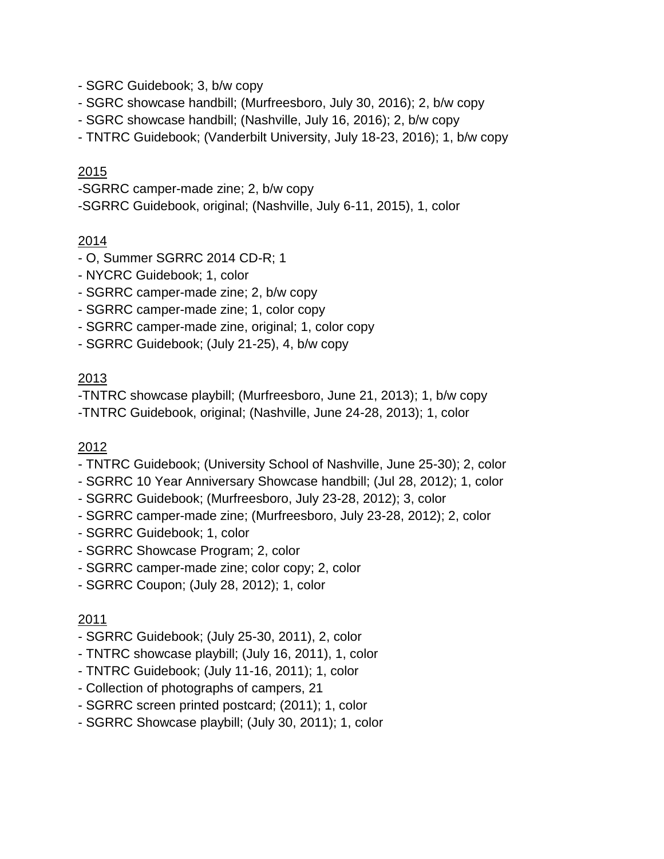- SGRC Guidebook; 3, b/w copy
- SGRC showcase handbill; (Murfreesboro, July 30, 2016); 2, b/w copy
- SGRC showcase handbill; (Nashville, July 16, 2016); 2, b/w copy
- TNTRC Guidebook; (Vanderbilt University, July 18-23, 2016); 1, b/w copy

- -SGRRC camper-made zine; 2, b/w copy
- -SGRRC Guidebook, original; (Nashville, July 6-11, 2015), 1, color

### 2014

- O, Summer SGRRC 2014 CD-R; 1
- NYCRC Guidebook; 1, color
- SGRRC camper-made zine; 2, b/w copy
- SGRRC camper-made zine; 1, color copy
- SGRRC camper-made zine, original; 1, color copy
- SGRRC Guidebook; (July 21-25), 4, b/w copy

### 2013

-TNTRC showcase playbill; (Murfreesboro, June 21, 2013); 1, b/w copy

-TNTRC Guidebook, original; (Nashville, June 24-28, 2013); 1, color

#### 2012

- TNTRC Guidebook; (University School of Nashville, June 25-30); 2, color
- SGRRC 10 Year Anniversary Showcase handbill; (Jul 28, 2012); 1, color
- SGRRC Guidebook; (Murfreesboro, July 23-28, 2012); 3, color
- SGRRC camper-made zine; (Murfreesboro, July 23-28, 2012); 2, color
- SGRRC Guidebook; 1, color
- SGRRC Showcase Program; 2, color
- SGRRC camper-made zine; color copy; 2, color
- SGRRC Coupon; (July 28, 2012); 1, color

- SGRRC Guidebook; (July 25-30, 2011), 2, color
- TNTRC showcase playbill; (July 16, 2011), 1, color
- TNTRC Guidebook; (July 11-16, 2011); 1, color
- Collection of photographs of campers, 21
- SGRRC screen printed postcard; (2011); 1, color
- SGRRC Showcase playbill; (July 30, 2011); 1, color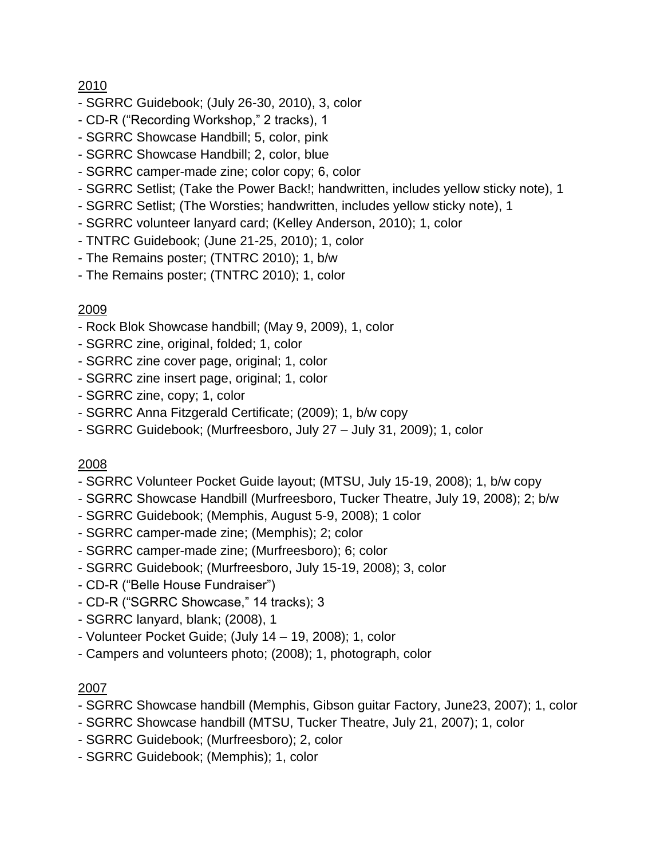- SGRRC Guidebook; (July 26-30, 2010), 3, color
- CD-R ("Recording Workshop," 2 tracks), 1
- SGRRC Showcase Handbill; 5, color, pink
- SGRRC Showcase Handbill; 2, color, blue
- SGRRC camper-made zine; color copy; 6, color
- SGRRC Setlist; (Take the Power Back!; handwritten, includes yellow sticky note), 1
- SGRRC Setlist; (The Worsties; handwritten, includes yellow sticky note), 1
- SGRRC volunteer lanyard card; (Kelley Anderson, 2010); 1, color
- TNTRC Guidebook; (June 21-25, 2010); 1, color
- The Remains poster; (TNTRC 2010); 1, b/w
- The Remains poster; (TNTRC 2010); 1, color

### 2009

- Rock Blok Showcase handbill; (May 9, 2009), 1, color
- SGRRC zine, original, folded; 1, color
- SGRRC zine cover page, original; 1, color
- SGRRC zine insert page, original; 1, color
- SGRRC zine, copy; 1, color
- SGRRC Anna Fitzgerald Certificate; (2009); 1, b/w copy
- SGRRC Guidebook; (Murfreesboro, July 27 July 31, 2009); 1, color

#### 2008

- SGRRC Volunteer Pocket Guide layout; (MTSU, July 15-19, 2008); 1, b/w copy
- SGRRC Showcase Handbill (Murfreesboro, Tucker Theatre, July 19, 2008); 2; b/w
- SGRRC Guidebook; (Memphis, August 5-9, 2008); 1 color
- SGRRC camper-made zine; (Memphis); 2; color
- SGRRC camper-made zine; (Murfreesboro); 6; color
- SGRRC Guidebook; (Murfreesboro, July 15-19, 2008); 3, color
- CD-R ("Belle House Fundraiser")
- CD-R ("SGRRC Showcase," 14 tracks); 3
- SGRRC lanyard, blank; (2008), 1
- Volunteer Pocket Guide; (July 14 19, 2008); 1, color
- Campers and volunteers photo; (2008); 1, photograph, color

- SGRRC Showcase handbill (Memphis, Gibson guitar Factory, June23, 2007); 1, color
- SGRRC Showcase handbill (MTSU, Tucker Theatre, July 21, 2007); 1, color
- SGRRC Guidebook; (Murfreesboro); 2, color
- SGRRC Guidebook; (Memphis); 1, color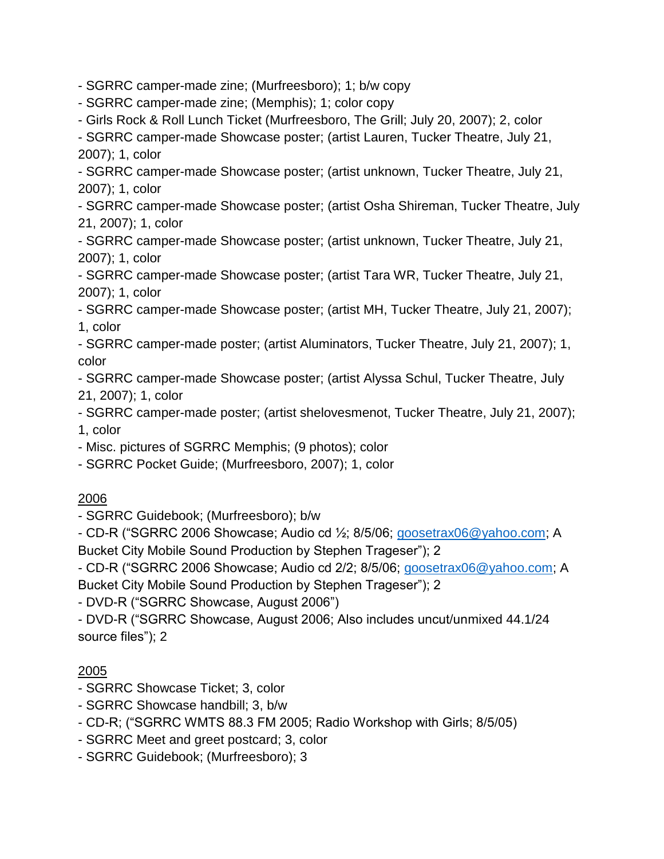- SGRRC camper-made zine; (Murfreesboro); 1; b/w copy

- SGRRC camper-made zine; (Memphis); 1; color copy

- Girls Rock & Roll Lunch Ticket (Murfreesboro, The Grill; July 20, 2007); 2, color

- SGRRC camper-made Showcase poster; (artist Lauren, Tucker Theatre, July 21, 2007); 1, color

- SGRRC camper-made Showcase poster; (artist unknown, Tucker Theatre, July 21, 2007); 1, color

- SGRRC camper-made Showcase poster; (artist Osha Shireman, Tucker Theatre, July 21, 2007); 1, color

- SGRRC camper-made Showcase poster; (artist unknown, Tucker Theatre, July 21, 2007); 1, color

- SGRRC camper-made Showcase poster; (artist Tara WR, Tucker Theatre, July 21, 2007); 1, color

- SGRRC camper-made Showcase poster; (artist MH, Tucker Theatre, July 21, 2007); 1, color

- SGRRC camper-made poster; (artist Aluminators, Tucker Theatre, July 21, 2007); 1, color

- SGRRC camper-made Showcase poster; (artist Alyssa Schul, Tucker Theatre, July 21, 2007); 1, color

- SGRRC camper-made poster; (artist shelovesmenot, Tucker Theatre, July 21, 2007); 1, color

- Misc. pictures of SGRRC Memphis; (9 photos); color

- SGRRC Pocket Guide; (Murfreesboro, 2007); 1, color

### 2006

- SGRRC Guidebook; (Murfreesboro); b/w

- CD-R ("SGRRC 2006 Showcase; Audio cd ½; 8/5/06; [goosetrax06@yahoo.com;](mailto:goosetrax06@yahoo.com) A Bucket City Mobile Sound Production by Stephen Trageser"); 2

- CD-R ("SGRRC 2006 Showcase; Audio cd 2/2; 8/5/06; [goosetrax06@yahoo.com;](mailto:goosetrax06@yahoo.com) A Bucket City Mobile Sound Production by Stephen Trageser"); 2

- DVD-R ("SGRRC Showcase, August 2006")

- DVD-R ("SGRRC Showcase, August 2006; Also includes uncut/unmixed 44.1/24 source files"); 2

- SGRRC Showcase Ticket; 3, color
- SGRRC Showcase handbill; 3, b/w
- CD-R; ("SGRRC WMTS 88.3 FM 2005; Radio Workshop with Girls; 8/5/05)
- SGRRC Meet and greet postcard; 3, color
- SGRRC Guidebook; (Murfreesboro); 3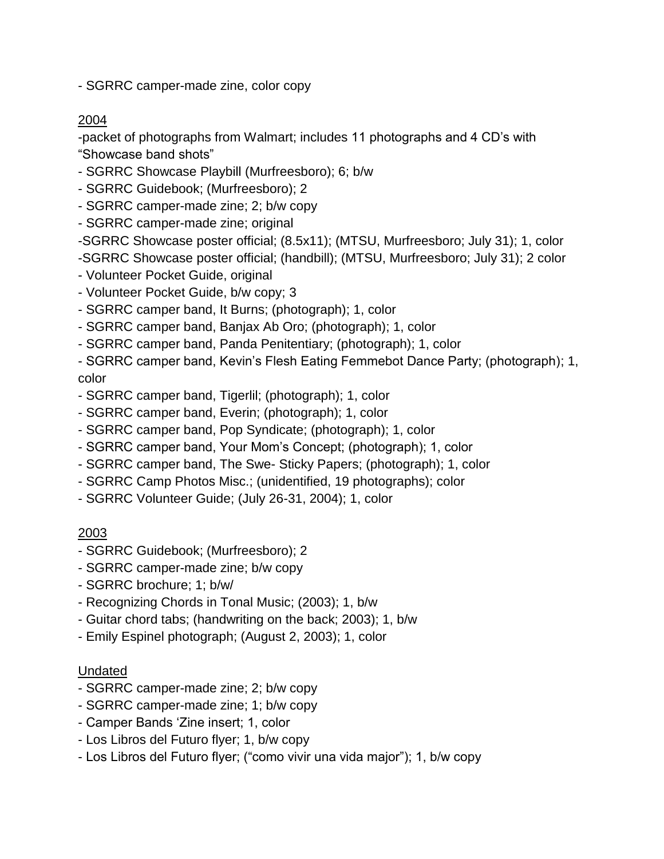- SGRRC camper-made zine, color copy

#### 2004

-packet of photographs from Walmart; includes 11 photographs and 4 CD's with "Showcase band shots"

- SGRRC Showcase Playbill (Murfreesboro); 6; b/w

- SGRRC Guidebook; (Murfreesboro); 2

- SGRRC camper-made zine; 2; b/w copy

- SGRRC camper-made zine; original

-SGRRC Showcase poster official; (8.5x11); (MTSU, Murfreesboro; July 31); 1, color

- -SGRRC Showcase poster official; (handbill); (MTSU, Murfreesboro; July 31); 2 color
- Volunteer Pocket Guide, original
- Volunteer Pocket Guide, b/w copy; 3
- SGRRC camper band, It Burns; (photograph); 1, color
- SGRRC camper band, Banjax Ab Oro; (photograph); 1, color
- SGRRC camper band, Panda Penitentiary; (photograph); 1, color

- SGRRC camper band, Kevin's Flesh Eating Femmebot Dance Party; (photograph); 1, color

- SGRRC camper band, Tigerlil; (photograph); 1, color
- SGRRC camper band, Everin; (photograph); 1, color
- SGRRC camper band, Pop Syndicate; (photograph); 1, color
- SGRRC camper band, Your Mom's Concept; (photograph); 1, color
- SGRRC camper band, The Swe- Sticky Papers; (photograph); 1, color
- SGRRC Camp Photos Misc.; (unidentified, 19 photographs); color
- SGRRC Volunteer Guide; (July 26-31, 2004); 1, color

### 2003

- SGRRC Guidebook; (Murfreesboro); 2
- SGRRC camper-made zine; b/w copy
- SGRRC brochure; 1; b/w/
- Recognizing Chords in Tonal Music; (2003); 1, b/w
- Guitar chord tabs; (handwriting on the back; 2003); 1, b/w
- Emily Espinel photograph; (August 2, 2003); 1, color

#### Undated

- SGRRC camper-made zine; 2; b/w copy
- SGRRC camper-made zine; 1; b/w copy
- Camper Bands 'Zine insert; 1, color
- Los Libros del Futuro flyer; 1, b/w copy
- Los Libros del Futuro flyer; ("como vivir una vida major"); 1, b/w copy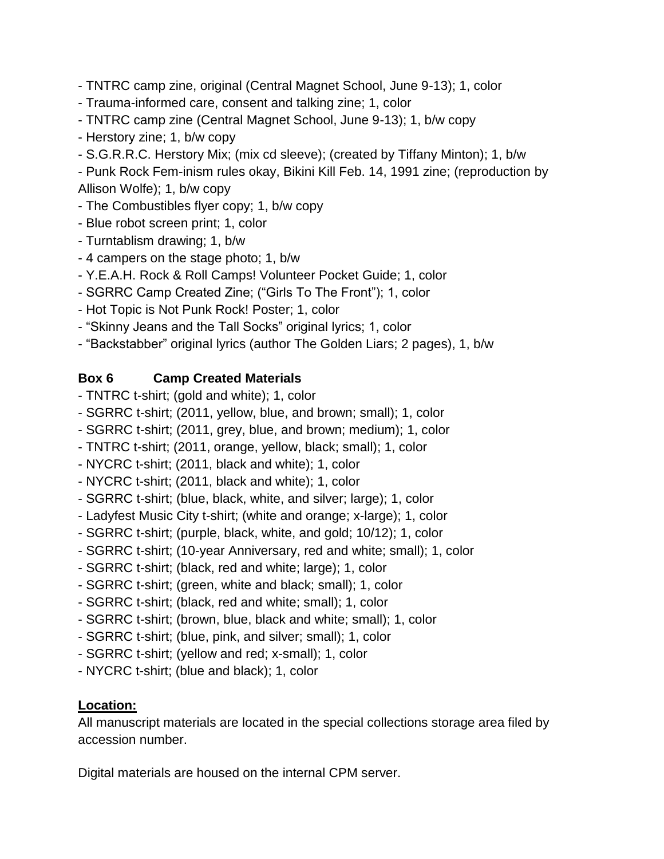- TNTRC camp zine, original (Central Magnet School, June 9-13); 1, color

- Trauma-informed care, consent and talking zine; 1, color
- TNTRC camp zine (Central Magnet School, June 9-13); 1, b/w copy
- Herstory zine; 1, b/w copy
- S.G.R.R.C. Herstory Mix; (mix cd sleeve); (created by Tiffany Minton); 1, b/w

- Punk Rock Fem-inism rules okay, Bikini Kill Feb. 14, 1991 zine; (reproduction by Allison Wolfe); 1, b/w copy

- The Combustibles flyer copy; 1, b/w copy
- Blue robot screen print; 1, color
- Turntablism drawing; 1, b/w
- 4 campers on the stage photo; 1, b/w
- Y.E.A.H. Rock & Roll Camps! Volunteer Pocket Guide; 1, color
- SGRRC Camp Created Zine; ("Girls To The Front"); 1, color
- Hot Topic is Not Punk Rock! Poster; 1, color
- "Skinny Jeans and the Tall Socks" original lyrics; 1, color
- "Backstabber" original lyrics (author The Golden Liars; 2 pages), 1, b/w

# **Box 6 Camp Created Materials**

- TNTRC t-shirt; (gold and white); 1, color
- SGRRC t-shirt; (2011, yellow, blue, and brown; small); 1, color
- SGRRC t-shirt; (2011, grey, blue, and brown; medium); 1, color
- TNTRC t-shirt; (2011, orange, yellow, black; small); 1, color
- NYCRC t-shirt; (2011, black and white); 1, color
- NYCRC t-shirt; (2011, black and white); 1, color
- SGRRC t-shirt; (blue, black, white, and silver; large); 1, color
- Ladyfest Music City t-shirt; (white and orange; x-large); 1, color
- SGRRC t-shirt; (purple, black, white, and gold; 10/12); 1, color
- SGRRC t-shirt; (10-year Anniversary, red and white; small); 1, color
- SGRRC t-shirt; (black, red and white; large); 1, color
- SGRRC t-shirt; (green, white and black; small); 1, color
- SGRRC t-shirt; (black, red and white; small); 1, color
- SGRRC t-shirt; (brown, blue, black and white; small); 1, color
- SGRRC t-shirt; (blue, pink, and silver; small); 1, color
- SGRRC t-shirt; (yellow and red; x-small); 1, color
- NYCRC t-shirt; (blue and black); 1, color

# **Location:**

All manuscript materials are located in the special collections storage area filed by accession number.

Digital materials are housed on the internal CPM server.